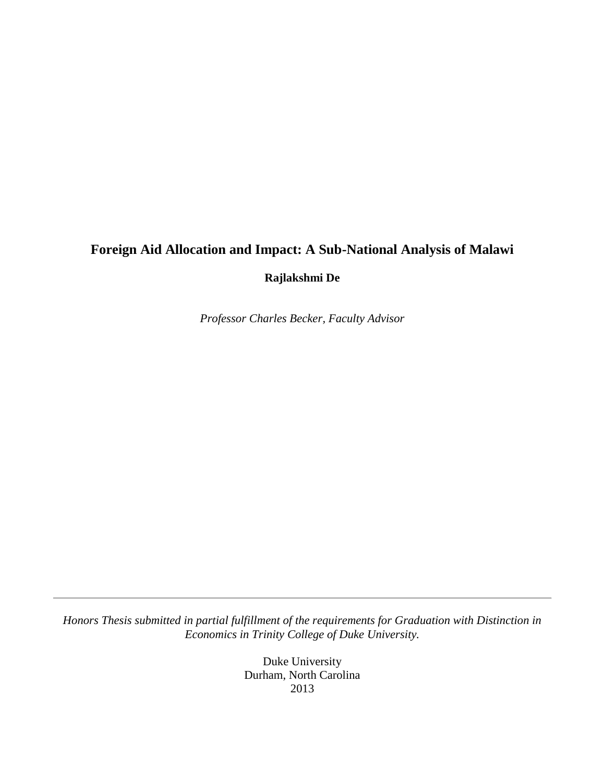# **Foreign Aid Allocation and Impact: A Sub-National Analysis of Malawi Rajlakshmi De**

*Professor Charles Becker, Faculty Advisor*

*Honors Thesis submitted in partial fulfillment of the requirements for Graduation with Distinction in Economics in Trinity College of Duke University.*

> Duke University Durham, North Carolina 2013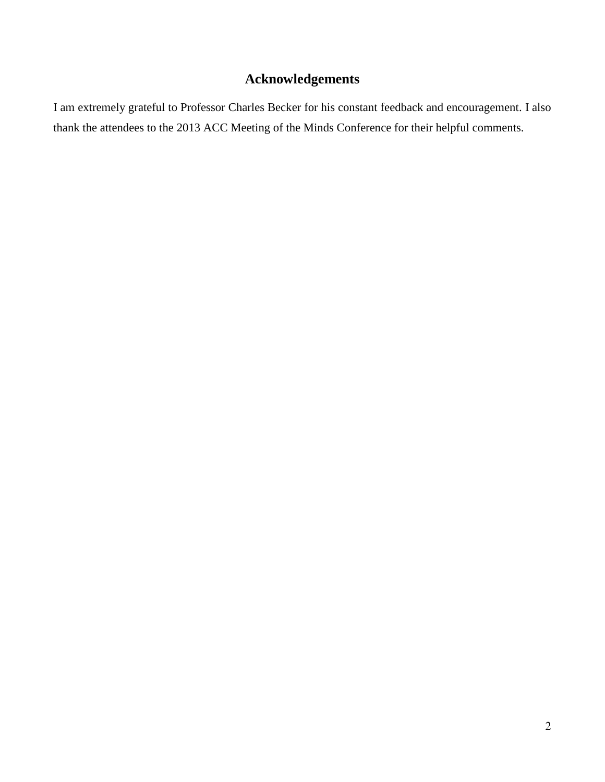# **Acknowledgements**

I am extremely grateful to Professor Charles Becker for his constant feedback and encouragement. I also thank the attendees to the 2013 ACC Meeting of the Minds Conference for their helpful comments.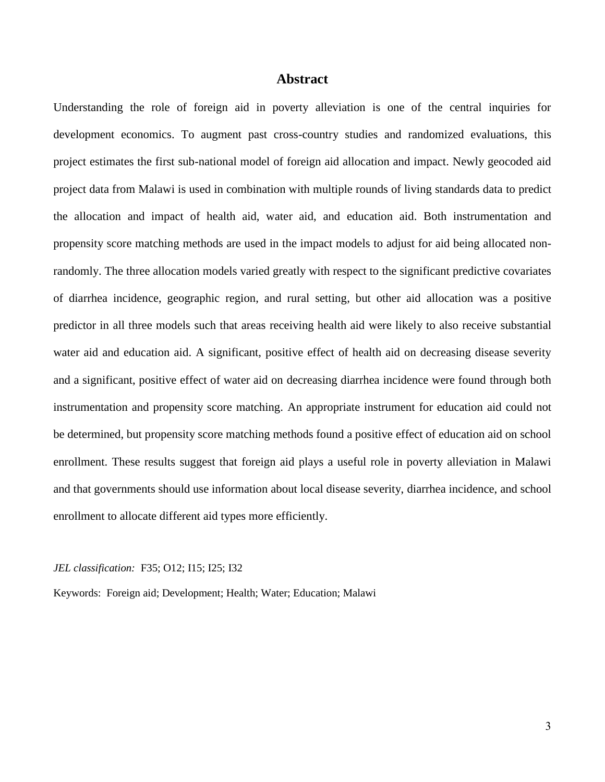### **Abstract**

Understanding the role of foreign aid in poverty alleviation is one of the central inquiries for development economics. To augment past cross-country studies and randomized evaluations, this project estimates the first sub-national model of foreign aid allocation and impact. Newly geocoded aid project data from Malawi is used in combination with multiple rounds of living standards data to predict the allocation and impact of health aid, water aid, and education aid. Both instrumentation and propensity score matching methods are used in the impact models to adjust for aid being allocated nonrandomly. The three allocation models varied greatly with respect to the significant predictive covariates of diarrhea incidence, geographic region, and rural setting, but other aid allocation was a positive predictor in all three models such that areas receiving health aid were likely to also receive substantial water aid and education aid. A significant, positive effect of health aid on decreasing disease severity and a significant, positive effect of water aid on decreasing diarrhea incidence were found through both instrumentation and propensity score matching. An appropriate instrument for education aid could not be determined, but propensity score matching methods found a positive effect of education aid on school enrollment. These results suggest that foreign aid plays a useful role in poverty alleviation in Malawi and that governments should use information about local disease severity, diarrhea incidence, and school enrollment to allocate different aid types more efficiently.

#### *JEL classification:*F35; O12; I15; I25; I32

Keywords: Foreign aid; Development; Health; Water; Education; Malawi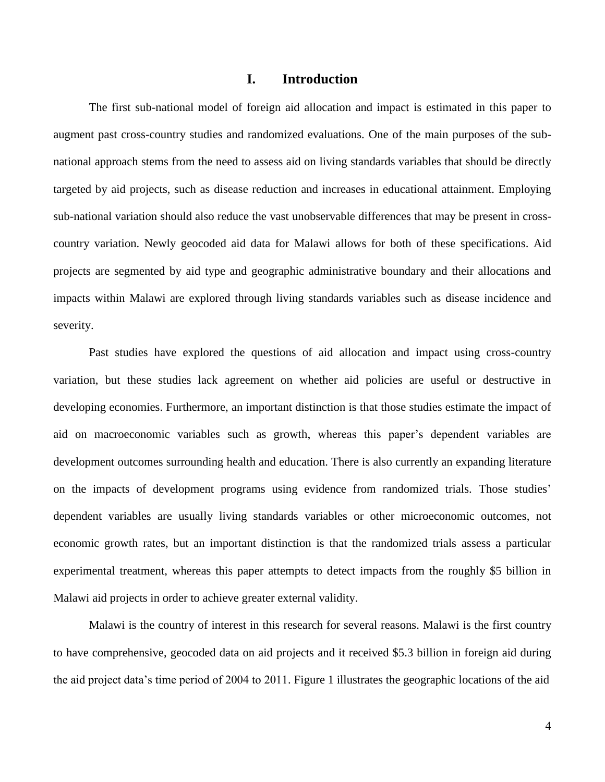# **I. Introduction**

The first sub-national model of foreign aid allocation and impact is estimated in this paper to augment past cross-country studies and randomized evaluations. One of the main purposes of the subnational approach stems from the need to assess aid on living standards variables that should be directly targeted by aid projects, such as disease reduction and increases in educational attainment. Employing sub-national variation should also reduce the vast unobservable differences that may be present in crosscountry variation. Newly geocoded aid data for Malawi allows for both of these specifications. Aid projects are segmented by aid type and geographic administrative boundary and their allocations and impacts within Malawi are explored through living standards variables such as disease incidence and severity.

Past studies have explored the questions of aid allocation and impact using cross-country variation, but these studies lack agreement on whether aid policies are useful or destructive in developing economies. Furthermore, an important distinction is that those studies estimate the impact of aid on macroeconomic variables such as growth, whereas this paper's dependent variables are development outcomes surrounding health and education. There is also currently an expanding literature on the impacts of development programs using evidence from randomized trials. Those studies' dependent variables are usually living standards variables or other microeconomic outcomes, not economic growth rates, but an important distinction is that the randomized trials assess a particular experimental treatment, whereas this paper attempts to detect impacts from the roughly \$5 billion in Malawi aid projects in order to achieve greater external validity.

Malawi is the country of interest in this research for several reasons. Malawi is the first country to have comprehensive, geocoded data on aid projects and it received \$5.3 billion in foreign aid during the aid project data's time period of 2004 to 2011. Figure 1 illustrates the geographic locations of the aid

4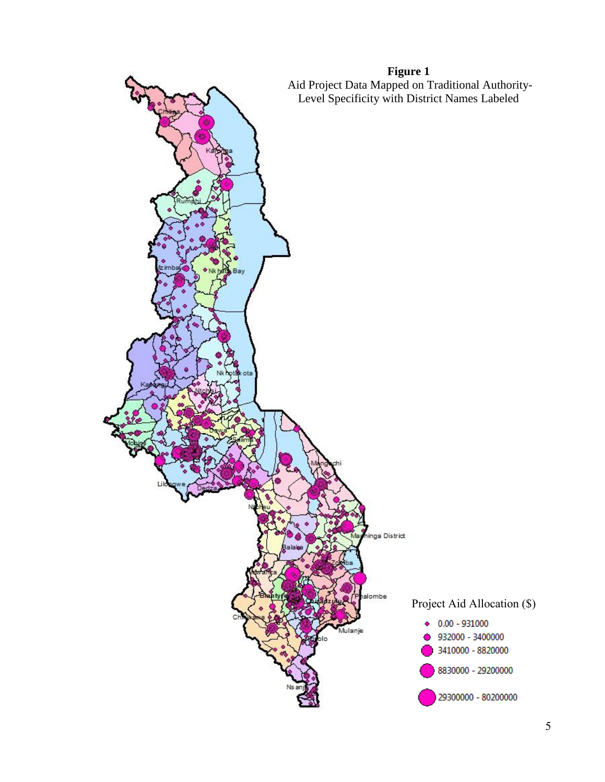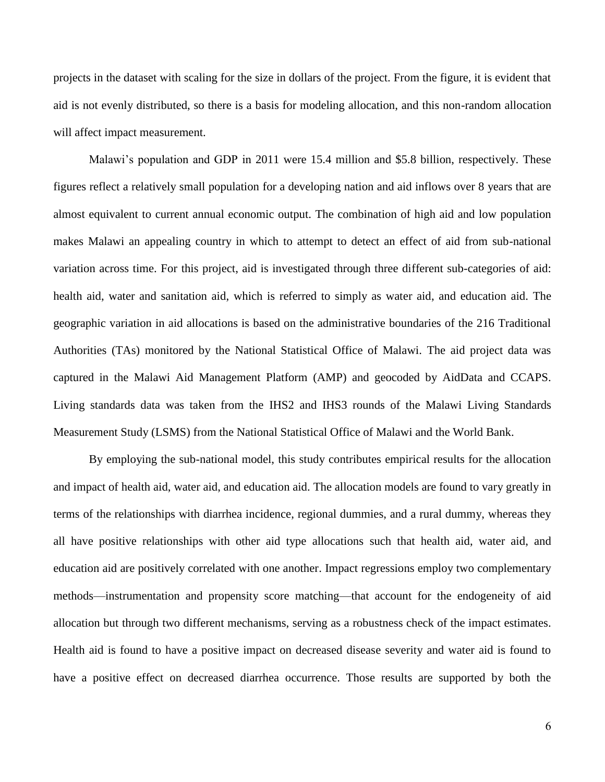projects in the dataset with scaling for the size in dollars of the project. From the figure, it is evident that aid is not evenly distributed, so there is a basis for modeling allocation, and this non-random allocation will affect impact measurement.

Malawi's population and GDP in 2011 were 15.4 million and \$5.8 billion, respectively. These figures reflect a relatively small population for a developing nation and aid inflows over 8 years that are almost equivalent to current annual economic output. The combination of high aid and low population makes Malawi an appealing country in which to attempt to detect an effect of aid from sub-national variation across time. For this project, aid is investigated through three different sub-categories of aid: health aid, water and sanitation aid, which is referred to simply as water aid, and education aid. The geographic variation in aid allocations is based on the administrative boundaries of the 216 Traditional Authorities (TAs) monitored by the National Statistical Office of Malawi. The aid project data was captured in the Malawi Aid Management Platform (AMP) and geocoded by AidData and CCAPS. Living standards data was taken from the IHS2 and IHS3 rounds of the Malawi Living Standards Measurement Study (LSMS) from the National Statistical Office of Malawi and the World Bank.

By employing the sub-national model, this study contributes empirical results for the allocation and impact of health aid, water aid, and education aid. The allocation models are found to vary greatly in terms of the relationships with diarrhea incidence, regional dummies, and a rural dummy, whereas they all have positive relationships with other aid type allocations such that health aid, water aid, and education aid are positively correlated with one another. Impact regressions employ two complementary methods—instrumentation and propensity score matching—that account for the endogeneity of aid allocation but through two different mechanisms, serving as a robustness check of the impact estimates. Health aid is found to have a positive impact on decreased disease severity and water aid is found to have a positive effect on decreased diarrhea occurrence. Those results are supported by both the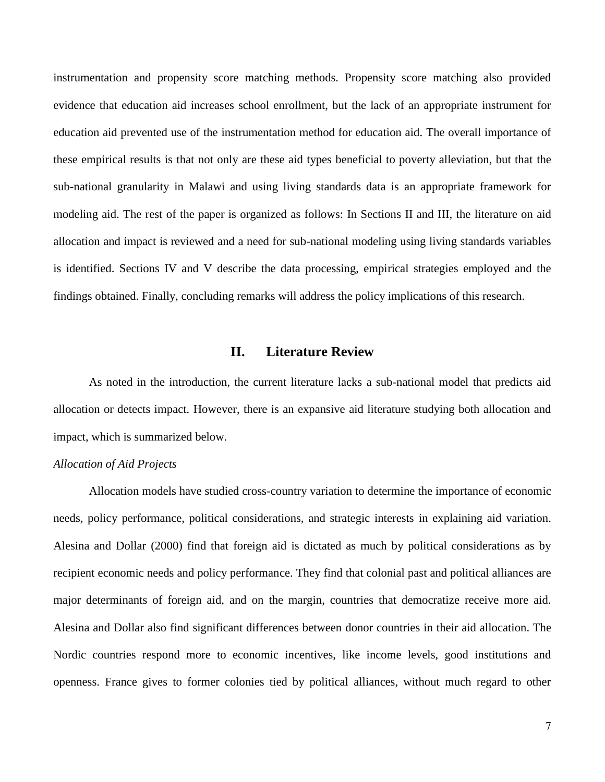instrumentation and propensity score matching methods. Propensity score matching also provided evidence that education aid increases school enrollment, but the lack of an appropriate instrument for education aid prevented use of the instrumentation method for education aid. The overall importance of these empirical results is that not only are these aid types beneficial to poverty alleviation, but that the sub-national granularity in Malawi and using living standards data is an appropriate framework for modeling aid. The rest of the paper is organized as follows: In Sections II and III, the literature on aid allocation and impact is reviewed and a need for sub-national modeling using living standards variables is identified. Sections IV and V describe the data processing, empirical strategies employed and the findings obtained. Finally, concluding remarks will address the policy implications of this research.

# **II. Literature Review**

As noted in the introduction, the current literature lacks a sub-national model that predicts aid allocation or detects impact. However, there is an expansive aid literature studying both allocation and impact, which is summarized below.

### *Allocation of Aid Projects*

Allocation models have studied cross-country variation to determine the importance of economic needs, policy performance, political considerations, and strategic interests in explaining aid variation. Alesina and Dollar (2000) find that foreign aid is dictated as much by political considerations as by recipient economic needs and policy performance. They find that colonial past and political alliances are major determinants of foreign aid, and on the margin, countries that democratize receive more aid. Alesina and Dollar also find significant differences between donor countries in their aid allocation. The Nordic countries respond more to economic incentives, like income levels, good institutions and openness. France gives to former colonies tied by political alliances, without much regard to other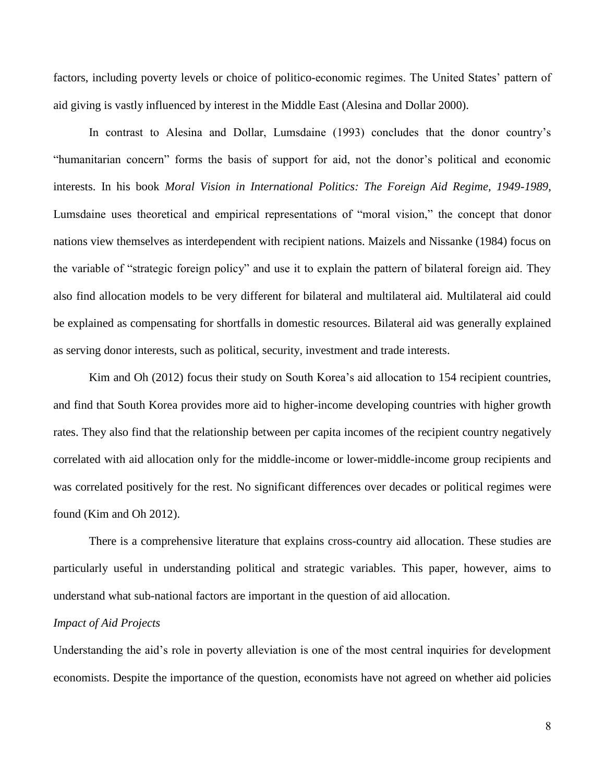factors, including poverty levels or choice of politico-economic regimes. The United States' pattern of aid giving is vastly influenced by interest in the Middle East (Alesina and Dollar 2000).

In contrast to Alesina and Dollar, Lumsdaine (1993) concludes that the donor country's "humanitarian concern" forms the basis of support for aid, not the donor's political and economic interests. In his book *Moral Vision in International Politics: The Foreign Aid Regime, 1949-1989*, Lumsdaine uses theoretical and empirical representations of "moral vision," the concept that donor nations view themselves as interdependent with recipient nations. Maizels and Nissanke (1984) focus on the variable of "strategic foreign policy" and use it to explain the pattern of bilateral foreign aid. They also find allocation models to be very different for bilateral and multilateral aid. Multilateral aid could be explained as compensating for shortfalls in domestic resources. Bilateral aid was generally explained as serving donor interests, such as political, security, investment and trade interests.

Kim and Oh (2012) focus their study on South Korea's aid allocation to 154 recipient countries, and find that South Korea provides more aid to higher-income developing countries with higher growth rates. They also find that the relationship between per capita incomes of the recipient country negatively correlated with aid allocation only for the middle-income or lower-middle-income group recipients and was correlated positively for the rest. No significant differences over decades or political regimes were found (Kim and Oh 2012).

There is a comprehensive literature that explains cross-country aid allocation. These studies are particularly useful in understanding political and strategic variables. This paper, however, aims to understand what sub-national factors are important in the question of aid allocation.

### *Impact of Aid Projects*

Understanding the aid's role in poverty alleviation is one of the most central inquiries for development economists. Despite the importance of the question, economists have not agreed on whether aid policies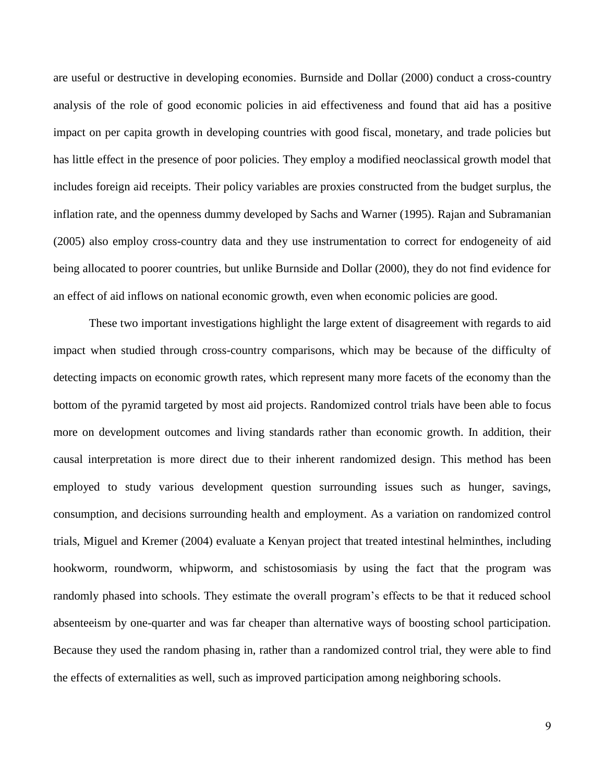are useful or destructive in developing economies. Burnside and Dollar (2000) conduct a cross-country analysis of the role of good economic policies in aid effectiveness and found that aid has a positive impact on per capita growth in developing countries with good fiscal, monetary, and trade policies but has little effect in the presence of poor policies. They employ a modified neoclassical growth model that includes foreign aid receipts. Their policy variables are proxies constructed from the budget surplus, the inflation rate, and the openness dummy developed by Sachs and Warner (1995). Rajan and Subramanian (2005) also employ cross-country data and they use instrumentation to correct for endogeneity of aid being allocated to poorer countries, but unlike Burnside and Dollar (2000), they do not find evidence for an effect of aid inflows on national economic growth, even when economic policies are good.

These two important investigations highlight the large extent of disagreement with regards to aid impact when studied through cross-country comparisons, which may be because of the difficulty of detecting impacts on economic growth rates, which represent many more facets of the economy than the bottom of the pyramid targeted by most aid projects. Randomized control trials have been able to focus more on development outcomes and living standards rather than economic growth. In addition, their causal interpretation is more direct due to their inherent randomized design. This method has been employed to study various development question surrounding issues such as hunger, savings, consumption, and decisions surrounding health and employment. As a variation on randomized control trials, Miguel and Kremer (2004) evaluate a Kenyan project that treated intestinal helminthes, including hookworm, roundworm, whipworm, and schistosomiasis by using the fact that the program was randomly phased into schools. They estimate the overall program's effects to be that it reduced school absenteeism by one-quarter and was far cheaper than alternative ways of boosting school participation. Because they used the random phasing in, rather than a randomized control trial, they were able to find the effects of externalities as well, such as improved participation among neighboring schools.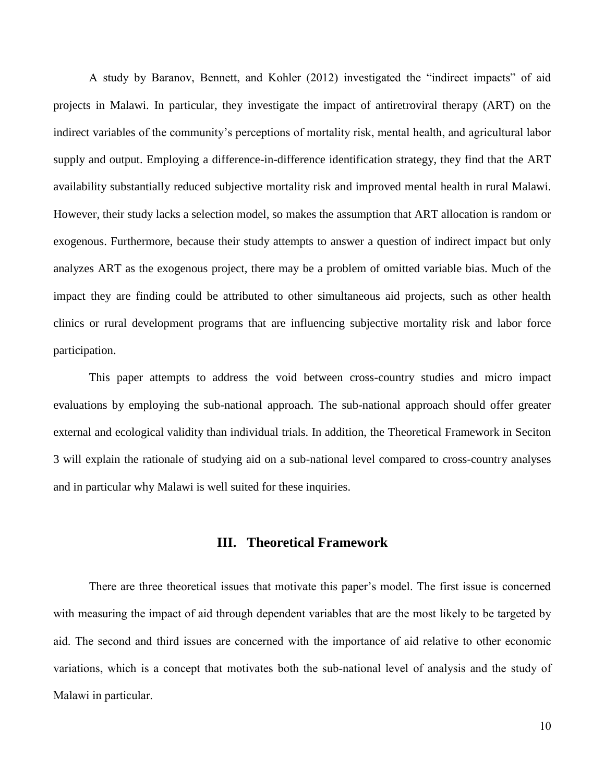A study by Baranov, Bennett, and Kohler (2012) investigated the "indirect impacts" of aid projects in Malawi. In particular, they investigate the impact of antiretroviral therapy (ART) on the indirect variables of the community's perceptions of mortality risk, mental health, and agricultural labor supply and output. Employing a difference-in-difference identification strategy, they find that the ART availability substantially reduced subjective mortality risk and improved mental health in rural Malawi. However, their study lacks a selection model, so makes the assumption that ART allocation is random or exogenous. Furthermore, because their study attempts to answer a question of indirect impact but only analyzes ART as the exogenous project, there may be a problem of omitted variable bias. Much of the impact they are finding could be attributed to other simultaneous aid projects, such as other health clinics or rural development programs that are influencing subjective mortality risk and labor force participation.

This paper attempts to address the void between cross-country studies and micro impact evaluations by employing the sub-national approach. The sub-national approach should offer greater external and ecological validity than individual trials. In addition, the Theoretical Framework in Seciton 3 will explain the rationale of studying aid on a sub-national level compared to cross-country analyses and in particular why Malawi is well suited for these inquiries.

# **III. Theoretical Framework**

There are three theoretical issues that motivate this paper's model. The first issue is concerned with measuring the impact of aid through dependent variables that are the most likely to be targeted by aid. The second and third issues are concerned with the importance of aid relative to other economic variations, which is a concept that motivates both the sub-national level of analysis and the study of Malawi in particular.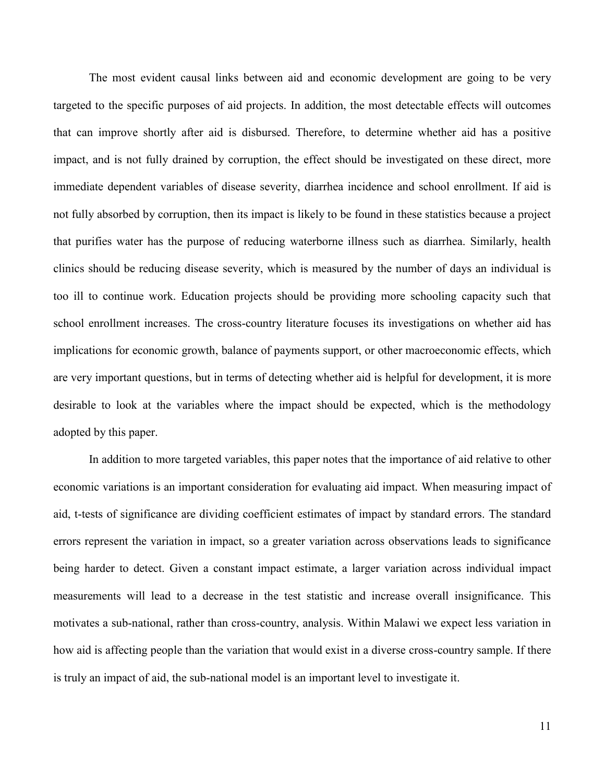The most evident causal links between aid and economic development are going to be very targeted to the specific purposes of aid projects. In addition, the most detectable effects will outcomes that can improve shortly after aid is disbursed. Therefore, to determine whether aid has a positive impact, and is not fully drained by corruption, the effect should be investigated on these direct, more immediate dependent variables of disease severity, diarrhea incidence and school enrollment. If aid is not fully absorbed by corruption, then its impact is likely to be found in these statistics because a project that purifies water has the purpose of reducing waterborne illness such as diarrhea. Similarly, health clinics should be reducing disease severity, which is measured by the number of days an individual is too ill to continue work. Education projects should be providing more schooling capacity such that school enrollment increases. The cross-country literature focuses its investigations on whether aid has implications for economic growth, balance of payments support, or other macroeconomic effects, which are very important questions, but in terms of detecting whether aid is helpful for development, it is more desirable to look at the variables where the impact should be expected, which is the methodology adopted by this paper.

In addition to more targeted variables, this paper notes that the importance of aid relative to other economic variations is an important consideration for evaluating aid impact. When measuring impact of aid, t-tests of significance are dividing coefficient estimates of impact by standard errors. The standard errors represent the variation in impact, so a greater variation across observations leads to significance being harder to detect. Given a constant impact estimate, a larger variation across individual impact measurements will lead to a decrease in the test statistic and increase overall insignificance. This motivates a sub-national, rather than cross-country, analysis. Within Malawi we expect less variation in how aid is affecting people than the variation that would exist in a diverse cross-country sample. If there is truly an impact of aid, the sub-national model is an important level to investigate it.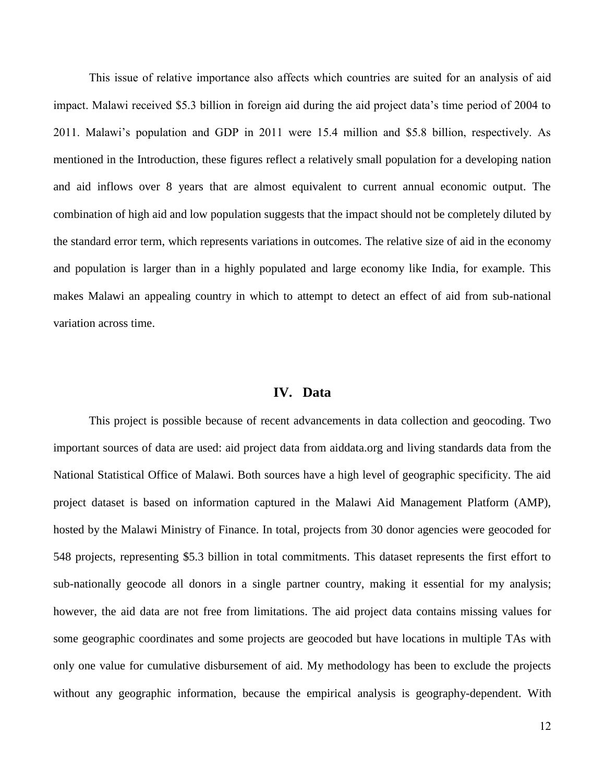This issue of relative importance also affects which countries are suited for an analysis of aid impact. Malawi received \$5.3 billion in foreign aid during the aid project data's time period of 2004 to 2011. Malawi's population and GDP in 2011 were 15.4 million and \$5.8 billion, respectively. As mentioned in the Introduction, these figures reflect a relatively small population for a developing nation and aid inflows over 8 years that are almost equivalent to current annual economic output. The combination of high aid and low population suggests that the impact should not be completely diluted by the standard error term, which represents variations in outcomes. The relative size of aid in the economy and population is larger than in a highly populated and large economy like India, for example. This makes Malawi an appealing country in which to attempt to detect an effect of aid from sub-national variation across time.

### **IV. Data**

This project is possible because of recent advancements in data collection and geocoding. Two important sources of data are used: aid project data from aiddata.org and living standards data from the National Statistical Office of Malawi. Both sources have a high level of geographic specificity. The aid project dataset is based on information captured in the Malawi Aid Management Platform (AMP), hosted by the Malawi Ministry of Finance. In total, projects from 30 donor agencies were geocoded for 548 projects, representing \$5.3 billion in total commitments. This dataset represents the first effort to sub-nationally geocode all donors in a single partner country, making it essential for my analysis; however, the aid data are not free from limitations. The aid project data contains missing values for some geographic coordinates and some projects are geocoded but have locations in multiple TAs with only one value for cumulative disbursement of aid. My methodology has been to exclude the projects without any geographic information, because the empirical analysis is geography-dependent. With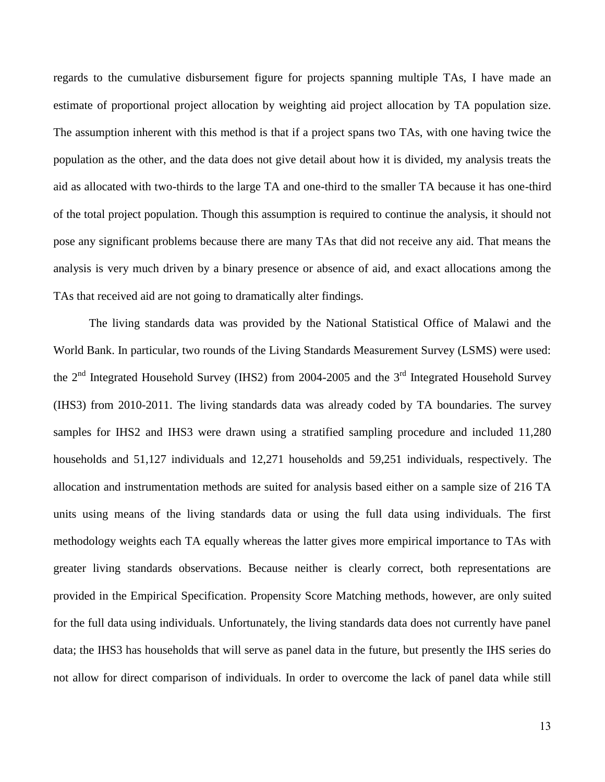regards to the cumulative disbursement figure for projects spanning multiple TAs, I have made an estimate of proportional project allocation by weighting aid project allocation by TA population size. The assumption inherent with this method is that if a project spans two TAs, with one having twice the population as the other, and the data does not give detail about how it is divided, my analysis treats the aid as allocated with two-thirds to the large TA and one-third to the smaller TA because it has one-third of the total project population. Though this assumption is required to continue the analysis, it should not pose any significant problems because there are many TAs that did not receive any aid. That means the analysis is very much driven by a binary presence or absence of aid, and exact allocations among the TAs that received aid are not going to dramatically alter findings.

The living standards data was provided by the National Statistical Office of Malawi and the World Bank. In particular, two rounds of the Living Standards Measurement Survey (LSMS) were used: the  $2<sup>nd</sup>$  Integrated Household Survey (IHS2) from 2004-2005 and the 3<sup>rd</sup> Integrated Household Survey (IHS3) from 2010-2011. The living standards data was already coded by TA boundaries. The survey samples for IHS2 and IHS3 were drawn using a stratified sampling procedure and included 11,280 households and 51,127 individuals and 12,271 households and 59,251 individuals, respectively. The allocation and instrumentation methods are suited for analysis based either on a sample size of 216 TA units using means of the living standards data or using the full data using individuals. The first methodology weights each TA equally whereas the latter gives more empirical importance to TAs with greater living standards observations. Because neither is clearly correct, both representations are provided in the Empirical Specification. Propensity Score Matching methods, however, are only suited for the full data using individuals. Unfortunately, the living standards data does not currently have panel data; the IHS3 has households that will serve as panel data in the future, but presently the IHS series do not allow for direct comparison of individuals. In order to overcome the lack of panel data while still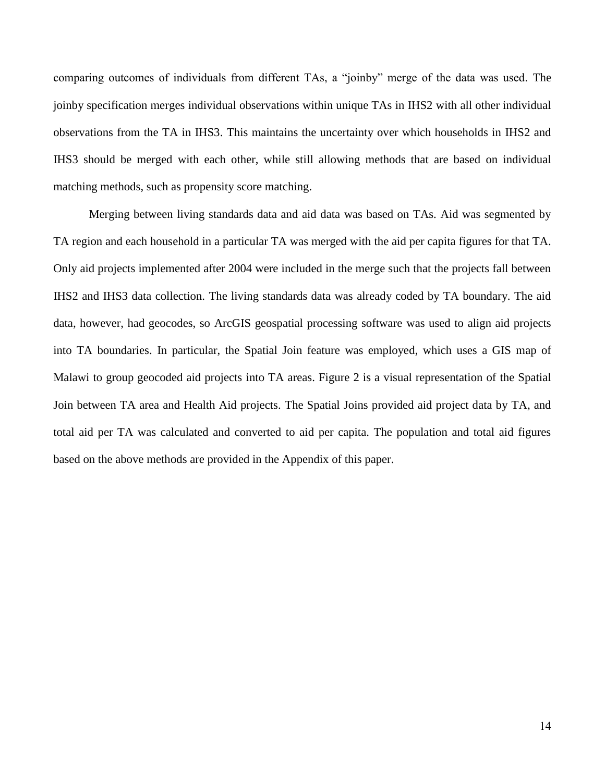comparing outcomes of individuals from different TAs, a "joinby" merge of the data was used. The joinby specification merges individual observations within unique TAs in IHS2 with all other individual observations from the TA in IHS3. This maintains the uncertainty over which households in IHS2 and IHS3 should be merged with each other, while still allowing methods that are based on individual matching methods, such as propensity score matching.

Merging between living standards data and aid data was based on TAs. Aid was segmented by TA region and each household in a particular TA was merged with the aid per capita figures for that TA. Only aid projects implemented after 2004 were included in the merge such that the projects fall between IHS2 and IHS3 data collection. The living standards data was already coded by TA boundary. The aid data, however, had geocodes, so ArcGIS geospatial processing software was used to align aid projects into TA boundaries. In particular, the Spatial Join feature was employed, which uses a GIS map of Malawi to group geocoded aid projects into TA areas. Figure 2 is a visual representation of the Spatial Join between TA area and Health Aid projects. The Spatial Joins provided aid project data by TA, and total aid per TA was calculated and converted to aid per capita. The population and total aid figures based on the above methods are provided in the Appendix of this paper.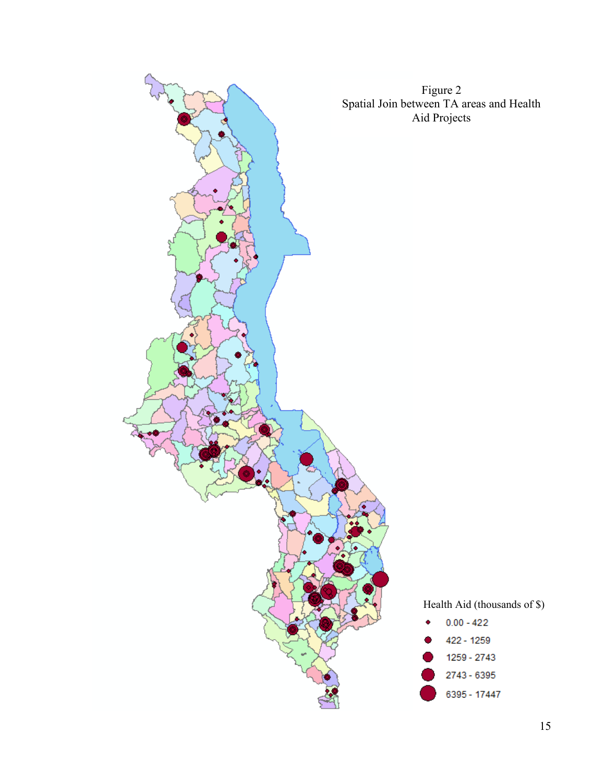

Figure 2 Spatial Join between TA areas and Health Aid Projects

Health Aid (thousands of \$)

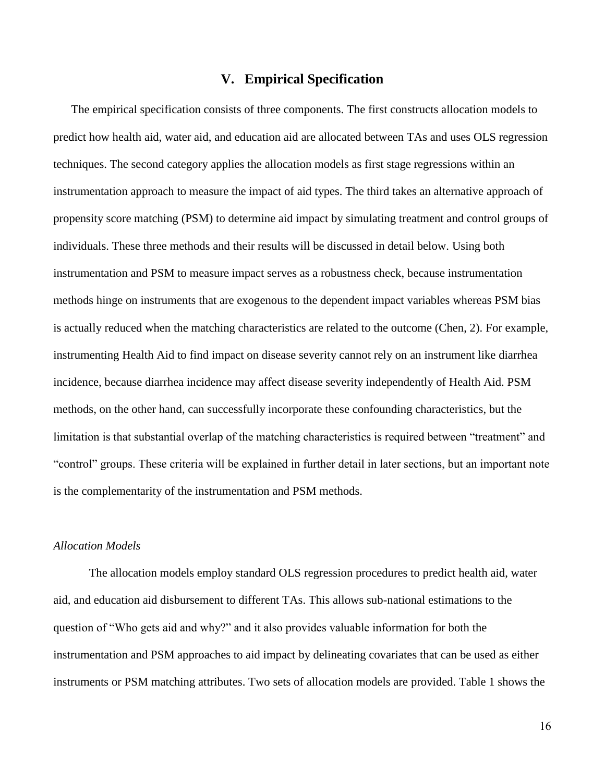### **V. Empirical Specification**

The empirical specification consists of three components. The first constructs allocation models to predict how health aid, water aid, and education aid are allocated between TAs and uses OLS regression techniques. The second category applies the allocation models as first stage regressions within an instrumentation approach to measure the impact of aid types. The third takes an alternative approach of propensity score matching (PSM) to determine aid impact by simulating treatment and control groups of individuals. These three methods and their results will be discussed in detail below. Using both instrumentation and PSM to measure impact serves as a robustness check, because instrumentation methods hinge on instruments that are exogenous to the dependent impact variables whereas PSM bias is actually reduced when the matching characteristics are related to the outcome (Chen, 2). For example, instrumenting Health Aid to find impact on disease severity cannot rely on an instrument like diarrhea incidence, because diarrhea incidence may affect disease severity independently of Health Aid. PSM methods, on the other hand, can successfully incorporate these confounding characteristics, but the limitation is that substantial overlap of the matching characteristics is required between "treatment" and "control" groups. These criteria will be explained in further detail in later sections, but an important note is the complementarity of the instrumentation and PSM methods.

### *Allocation Models*

The allocation models employ standard OLS regression procedures to predict health aid, water aid, and education aid disbursement to different TAs. This allows sub-national estimations to the question of "Who gets aid and why?" and it also provides valuable information for both the instrumentation and PSM approaches to aid impact by delineating covariates that can be used as either instruments or PSM matching attributes. Two sets of allocation models are provided. Table 1 shows the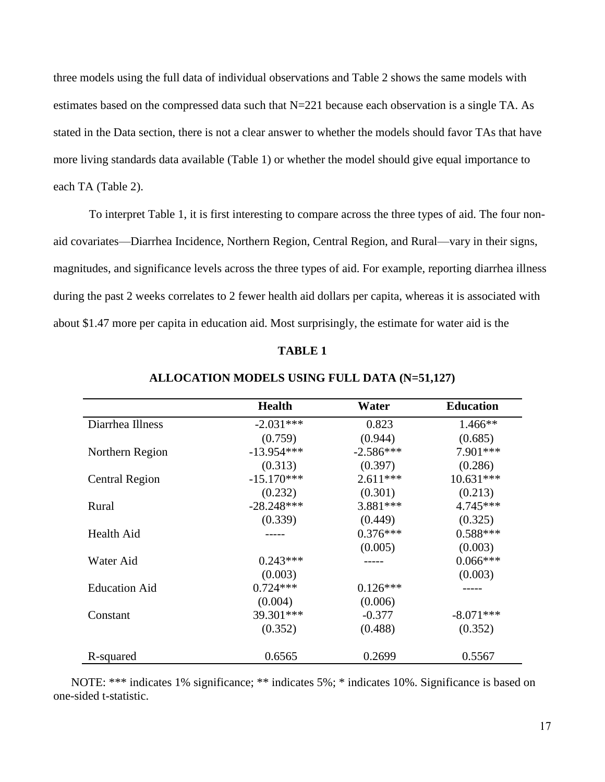three models using the full data of individual observations and Table 2 shows the same models with estimates based on the compressed data such that N=221 because each observation is a single TA. As stated in the Data section, there is not a clear answer to whether the models should favor TAs that have more living standards data available (Table 1) or whether the model should give equal importance to each TA (Table 2).

To interpret Table 1, it is first interesting to compare across the three types of aid. The four nonaid covariates—Diarrhea Incidence, Northern Region, Central Region, and Rural—vary in their signs, magnitudes, and significance levels across the three types of aid. For example, reporting diarrhea illness during the past 2 weeks correlates to 2 fewer health aid dollars per capita, whereas it is associated with about \$1.47 more per capita in education aid. Most surprisingly, the estimate for water aid is the

#### **TABLE 1**

|                       | <b>Health</b> | Water       | <b>Education</b> |
|-----------------------|---------------|-------------|------------------|
| Diarrhea Illness      | $-2.031***$   | 0.823       | $1.466**$        |
|                       | (0.759)       | (0.944)     | (0.685)          |
| Northern Region       | $-13.954***$  | $-2.586***$ | 7.901***         |
|                       | (0.313)       | (0.397)     | (0.286)          |
| <b>Central Region</b> | $-15.170***$  | $2.611***$  | $10.631***$      |
|                       | (0.232)       | (0.301)     | (0.213)          |
| Rural                 | $-28.248***$  | 3.881***    | 4.745***         |
|                       | (0.339)       | (0.449)     | (0.325)          |
| Health Aid            |               | $0.376***$  | $0.588***$       |
|                       |               | (0.005)     | (0.003)          |
| Water Aid             | $0.243***$    |             | $0.066***$       |
|                       | (0.003)       |             | (0.003)          |
| <b>Education Aid</b>  | $0.724***$    | $0.126***$  |                  |
|                       | (0.004)       | (0.006)     |                  |
| Constant              | 39.301***     | $-0.377$    | $-8.071***$      |
|                       | (0.352)       | (0.488)     | (0.352)          |
| R-squared             | 0.6565        | 0.2699      | 0.5567           |

#### **ALLOCATION MODELS USING FULL DATA (N=51,127)**

NOTE: \*\*\* indicates 1% significance; \*\* indicates 5%; \* indicates 10%. Significance is based on one-sided t-statistic.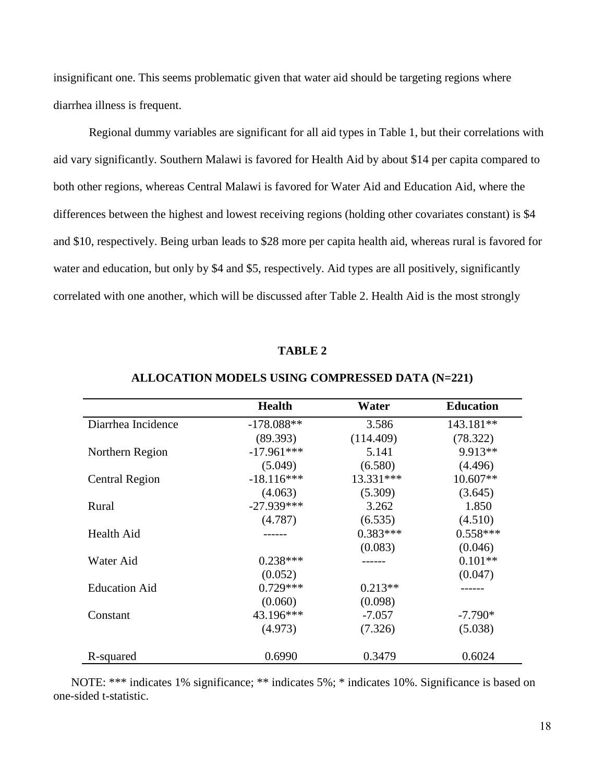insignificant one. This seems problematic given that water aid should be targeting regions where diarrhea illness is frequent.

Regional dummy variables are significant for all aid types in Table 1, but their correlations with aid vary significantly. Southern Malawi is favored for Health Aid by about \$14 per capita compared to both other regions, whereas Central Malawi is favored for Water Aid and Education Aid, where the differences between the highest and lowest receiving regions (holding other covariates constant) is \$4 and \$10, respectively. Being urban leads to \$28 more per capita health aid, whereas rural is favored for water and education, but only by \$4 and \$5, respectively. Aid types are all positively, significantly correlated with one another, which will be discussed after Table 2. Health Aid is the most strongly

|                       | $\alpha$      |            |                  |
|-----------------------|---------------|------------|------------------|
|                       | <b>Health</b> | Water      | <b>Education</b> |
| Diarrhea Incidence    | $-178.088**$  | 3.586      | 143.181**        |
|                       | (89.393)      | (114.409)  | (78.322)         |
| Northern Region       | $-17.961***$  | 5.141      | 9.913**          |
|                       | (5.049)       | (6.580)    | (4.496)          |
| <b>Central Region</b> | $-18.116***$  | 13.331***  | 10.607**         |
|                       | (4.063)       | (5.309)    | (3.645)          |
| Rural                 | $-27.939***$  | 3.262      | 1.850            |
|                       | (4.787)       | (6.535)    | (4.510)          |
| Health Aid            |               | $0.383***$ | $0.558***$       |
|                       |               | (0.083)    | (0.046)          |
| Water Aid             | $0.238***$    |            | $0.101**$        |
|                       | (0.052)       |            | (0.047)          |
| <b>Education Aid</b>  | $0.729***$    | $0.213**$  |                  |
|                       | (0.060)       | (0.098)    |                  |
| Constant              | 43.196***     | $-7.057$   | $-7.790*$        |
|                       | (4.973)       | (7.326)    | (5.038)          |
| R-squared             | 0.6990        | 0.3479     | 0.6024           |

#### **TABLE 2**

# **ALLOCATION MODELS USING COMPRESSED DATA (N=221)**

NOTE: \*\*\* indicates 1% significance; \*\* indicates 5%; \* indicates 10%. Significance is based on one-sided t-statistic.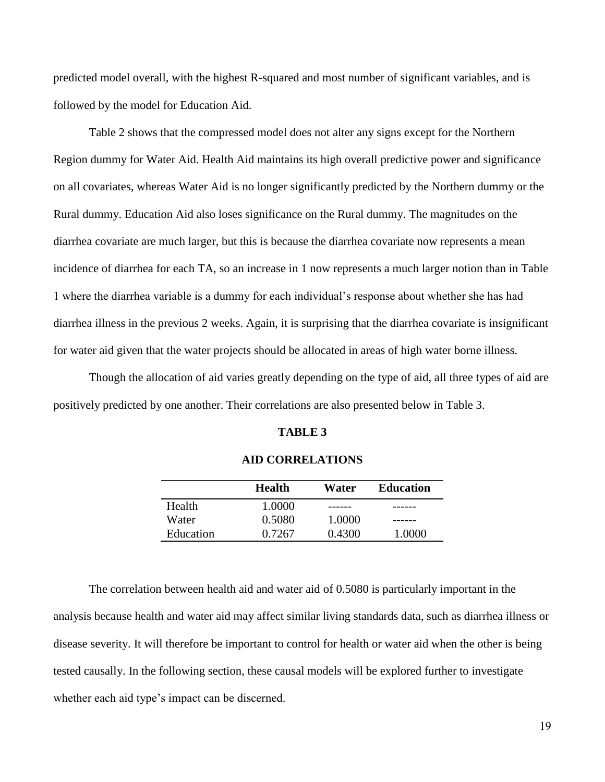predicted model overall, with the highest R-squared and most number of significant variables, and is followed by the model for Education Aid.

Table 2 shows that the compressed model does not alter any signs except for the Northern Region dummy for Water Aid. Health Aid maintains its high overall predictive power and significance on all covariates, whereas Water Aid is no longer significantly predicted by the Northern dummy or the Rural dummy. Education Aid also loses significance on the Rural dummy. The magnitudes on the diarrhea covariate are much larger, but this is because the diarrhea covariate now represents a mean incidence of diarrhea for each TA, so an increase in 1 now represents a much larger notion than in Table 1 where the diarrhea variable is a dummy for each individual's response about whether she has had diarrhea illness in the previous 2 weeks. Again, it is surprising that the diarrhea covariate is insignificant for water aid given that the water projects should be allocated in areas of high water borne illness.

Though the allocation of aid varies greatly depending on the type of aid, all three types of aid are positively predicted by one another. Their correlations are also presented below in Table 3.

#### **TABLE 3**

|           | <b>Health</b> | Water  | <b>Education</b> |
|-----------|---------------|--------|------------------|
| Health    | 1.0000        |        |                  |
| Water     | 0.5080        | 1.0000 |                  |
| Education | 0.7267        | 0.4300 | 1.0000           |

#### **AID CORRELATIONS**

The correlation between health aid and water aid of 0.5080 is particularly important in the analysis because health and water aid may affect similar living standards data, such as diarrhea illness or disease severity. It will therefore be important to control for health or water aid when the other is being tested causally. In the following section, these causal models will be explored further to investigate whether each aid type's impact can be discerned.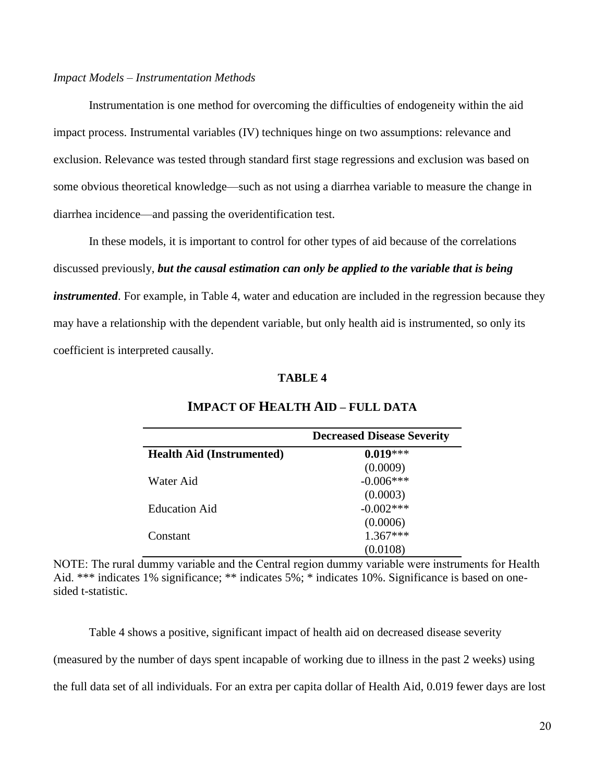### *Impact Models – Instrumentation Methods*

Instrumentation is one method for overcoming the difficulties of endogeneity within the aid impact process. Instrumental variables (IV) techniques hinge on two assumptions: relevance and exclusion. Relevance was tested through standard first stage regressions and exclusion was based on some obvious theoretical knowledge—such as not using a diarrhea variable to measure the change in diarrhea incidence—and passing the overidentification test.

In these models, it is important to control for other types of aid because of the correlations discussed previously, *but the causal estimation can only be applied to the variable that is being instrumented*. For example, in Table 4, water and education are included in the regression because they may have a relationship with the dependent variable, but only health aid is instrumented, so only its coefficient is interpreted causally.

### **TABLE 4**

|                                  | <b>Decreased Disease Severity</b> |
|----------------------------------|-----------------------------------|
| <b>Health Aid (Instrumented)</b> | $0.019***$                        |
|                                  | (0.0009)                          |
| Water Aid                        | $-0.006***$                       |
|                                  | (0.0003)                          |
| Education Aid                    | $-0.002$ ***                      |
|                                  | (0.0006)                          |
| Constant                         | $1.367***$                        |
|                                  | (0.0108)                          |

# **IMPACT OF HEALTH AID – FULL DATA**

NOTE: The rural dummy variable and the Central region dummy variable were instruments for Health Aid. \*\*\* indicates 1% significance; \*\* indicates 5%; \* indicates 10%. Significance is based on onesided t-statistic.

Table 4 shows a positive, significant impact of health aid on decreased disease severity (measured by the number of days spent incapable of working due to illness in the past 2 weeks) using the full data set of all individuals. For an extra per capita dollar of Health Aid, 0.019 fewer days are lost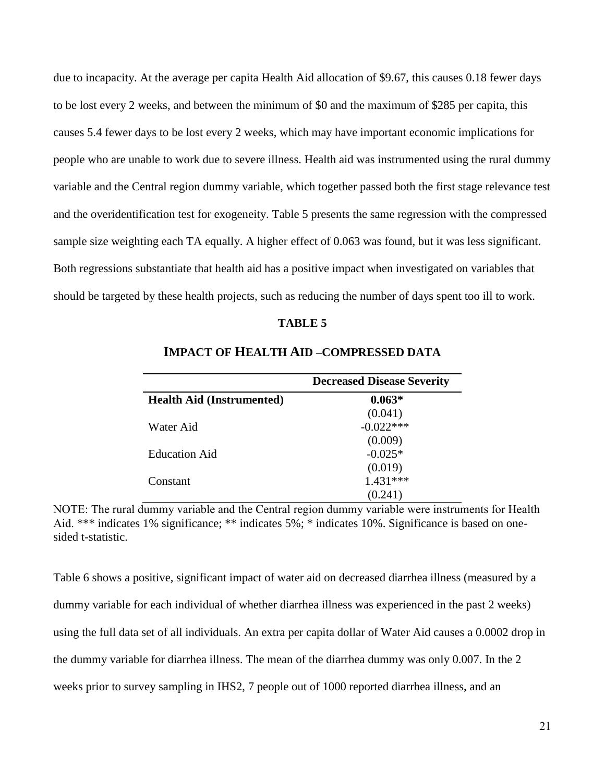due to incapacity. At the average per capita Health Aid allocation of \$9.67, this causes 0.18 fewer days to be lost every 2 weeks, and between the minimum of \$0 and the maximum of \$285 per capita, this causes 5.4 fewer days to be lost every 2 weeks, which may have important economic implications for people who are unable to work due to severe illness. Health aid was instrumented using the rural dummy variable and the Central region dummy variable, which together passed both the first stage relevance test and the overidentification test for exogeneity. Table 5 presents the same regression with the compressed sample size weighting each TA equally. A higher effect of 0.063 was found, but it was less significant. Both regressions substantiate that health aid has a positive impact when investigated on variables that should be targeted by these health projects, such as reducing the number of days spent too ill to work.

#### **TABLE 5**

|                                  | <b>Decreased Disease Severity</b> |
|----------------------------------|-----------------------------------|
| <b>Health Aid (Instrumented)</b> | $0.063*$                          |
|                                  | (0.041)                           |
| Water Aid                        | $-0.022***$                       |
|                                  | (0.009)                           |
| <b>Education Aid</b>             | $-0.025*$                         |
|                                  | (0.019)                           |
| Constant                         | $1.431***$                        |
|                                  | (0.241)                           |

**IMPACT OF HEALTH AID –COMPRESSED DATA**

NOTE: The rural dummy variable and the Central region dummy variable were instruments for Health Aid. \*\*\* indicates 1% significance; \*\* indicates 5%; \* indicates 10%. Significance is based on onesided t-statistic.

Table 6 shows a positive, significant impact of water aid on decreased diarrhea illness (measured by a dummy variable for each individual of whether diarrhea illness was experienced in the past 2 weeks) using the full data set of all individuals. An extra per capita dollar of Water Aid causes a 0.0002 drop in the dummy variable for diarrhea illness. The mean of the diarrhea dummy was only 0.007. In the 2 weeks prior to survey sampling in IHS2, 7 people out of 1000 reported diarrhea illness, and an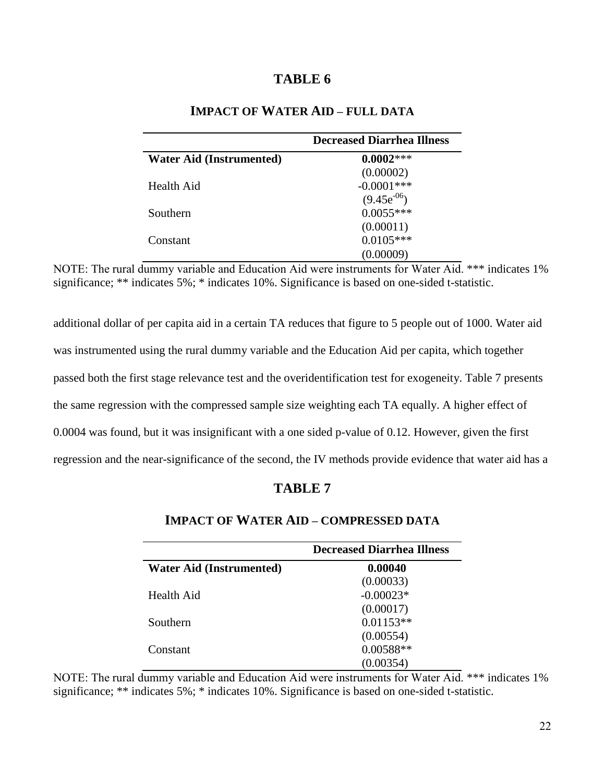# **TABLE 6**

|                                 | <b>Decreased Diarrhea Illness</b> |
|---------------------------------|-----------------------------------|
| <b>Water Aid (Instrumented)</b> | $0.0002***$                       |
|                                 | (0.00002)                         |
| Health Aid                      | $-0.0001$ ***                     |
|                                 | $(9.45e^{-06})$                   |
| Southern                        | $0.0055***$                       |
|                                 | (0.00011)                         |
| Constant                        | $0.0105***$                       |
|                                 | (0.00009)                         |

# **IMPACT OF WATER AID – FULL DATA**

NOTE: The rural dummy variable and Education Aid were instruments for Water Aid. \*\*\* indicates 1% significance; \*\* indicates 5%; \* indicates 10%. Significance is based on one-sided t-statistic.

additional dollar of per capita aid in a certain TA reduces that figure to 5 people out of 1000. Water aid was instrumented using the rural dummy variable and the Education Aid per capita, which together passed both the first stage relevance test and the overidentification test for exogeneity. Table 7 presents the same regression with the compressed sample size weighting each TA equally. A higher effect of 0.0004 was found, but it was insignificant with a one sided p-value of 0.12. However, given the first regression and the near-significance of the second, the IV methods provide evidence that water aid has a

# **TABLE 7**

# **IMPACT OF WATER AID – COMPRESSED DATA**

|                                 | <b>Decreased Diarrhea Illness</b> |
|---------------------------------|-----------------------------------|
| <b>Water Aid (Instrumented)</b> | 0.00040                           |
|                                 | (0.00033)                         |
| Health Aid                      | $-0.00023*$                       |
|                                 | (0.00017)                         |
| <b>Southern</b>                 | $0.01153**$                       |
|                                 | (0.00554)                         |
| Constant                        | 0.00588**                         |
|                                 | (0.00354)                         |

NOTE: The rural dummy variable and Education Aid were instruments for Water Aid. \*\*\* indicates 1% significance; \*\* indicates 5%; \* indicates 10%. Significance is based on one-sided t-statistic.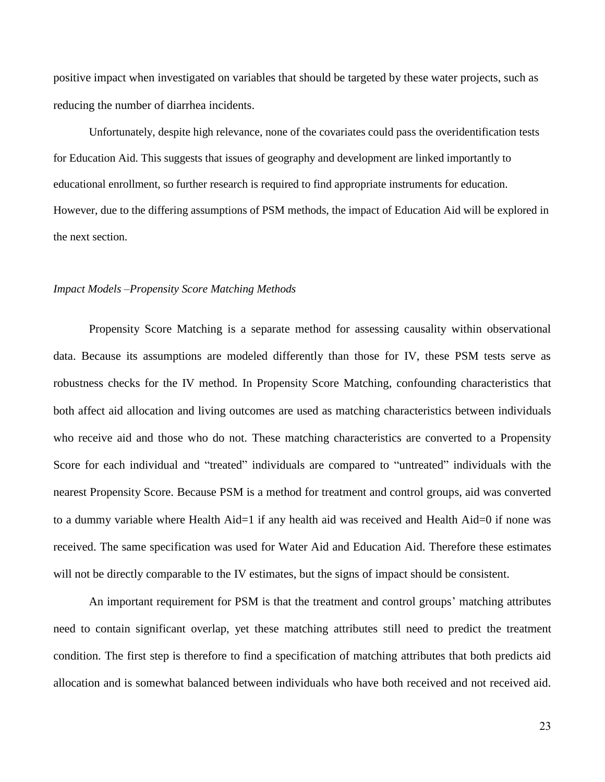positive impact when investigated on variables that should be targeted by these water projects, such as reducing the number of diarrhea incidents.

Unfortunately, despite high relevance, none of the covariates could pass the overidentification tests for Education Aid. This suggests that issues of geography and development are linked importantly to educational enrollment, so further research is required to find appropriate instruments for education. However, due to the differing assumptions of PSM methods, the impact of Education Aid will be explored in the next section.

#### *Impact Models –Propensity Score Matching Methods*

Propensity Score Matching is a separate method for assessing causality within observational data. Because its assumptions are modeled differently than those for IV, these PSM tests serve as robustness checks for the IV method. In Propensity Score Matching, confounding characteristics that both affect aid allocation and living outcomes are used as matching characteristics between individuals who receive aid and those who do not. These matching characteristics are converted to a Propensity Score for each individual and "treated" individuals are compared to "untreated" individuals with the nearest Propensity Score. Because PSM is a method for treatment and control groups, aid was converted to a dummy variable where Health Aid=1 if any health aid was received and Health Aid=0 if none was received. The same specification was used for Water Aid and Education Aid. Therefore these estimates will not be directly comparable to the IV estimates, but the signs of impact should be consistent.

An important requirement for PSM is that the treatment and control groups' matching attributes need to contain significant overlap, yet these matching attributes still need to predict the treatment condition. The first step is therefore to find a specification of matching attributes that both predicts aid allocation and is somewhat balanced between individuals who have both received and not received aid.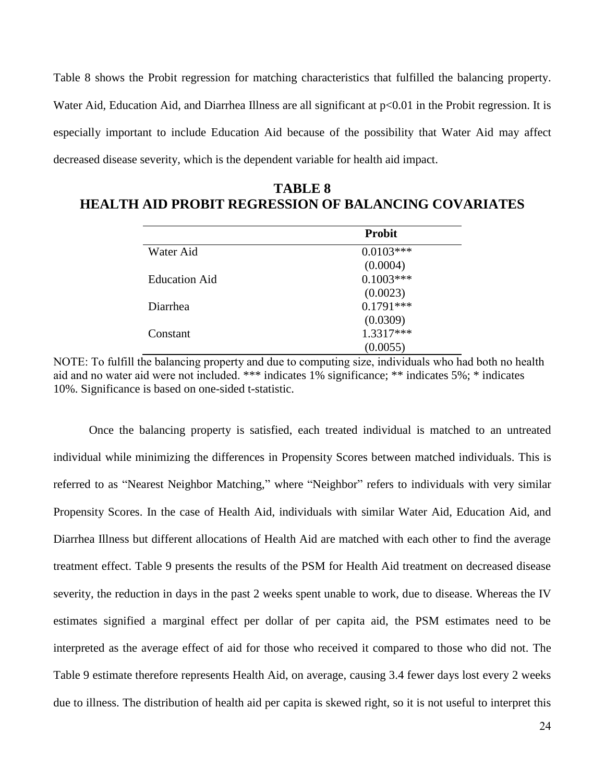Table 8 shows the Probit regression for matching characteristics that fulfilled the balancing property. Water Aid, Education Aid, and Diarrhea Illness are all significant at  $p<0.01$  in the Probit regression. It is especially important to include Education Aid because of the possibility that Water Aid may affect decreased disease severity, which is the dependent variable for health aid impact.

**TABLE 8 HEALTH AID PROBIT REGRESSION OF BALANCING COVARIATES**

|                      | <b>Probit</b> |
|----------------------|---------------|
| Water Aid            | $0.0103***$   |
|                      | (0.0004)      |
| <b>Education Aid</b> | $0.1003***$   |
|                      | (0.0023)      |
| Diarrhea             | $0.1791***$   |
|                      | (0.0309)      |
| Constant             | 1.3317***     |
|                      | (0.0055)      |

NOTE: To fulfill the balancing property and due to computing size, individuals who had both no health aid and no water aid were not included. \*\*\* indicates 1% significance; \*\* indicates 5%; \* indicates 10%. Significance is based on one-sided t-statistic.

Once the balancing property is satisfied, each treated individual is matched to an untreated individual while minimizing the differences in Propensity Scores between matched individuals. This is referred to as "Nearest Neighbor Matching," where "Neighbor" refers to individuals with very similar Propensity Scores. In the case of Health Aid, individuals with similar Water Aid, Education Aid, and Diarrhea Illness but different allocations of Health Aid are matched with each other to find the average treatment effect. Table 9 presents the results of the PSM for Health Aid treatment on decreased disease severity, the reduction in days in the past 2 weeks spent unable to work, due to disease. Whereas the IV estimates signified a marginal effect per dollar of per capita aid, the PSM estimates need to be interpreted as the average effect of aid for those who received it compared to those who did not. The Table 9 estimate therefore represents Health Aid, on average, causing 3.4 fewer days lost every 2 weeks due to illness. The distribution of health aid per capita is skewed right, so it is not useful to interpret this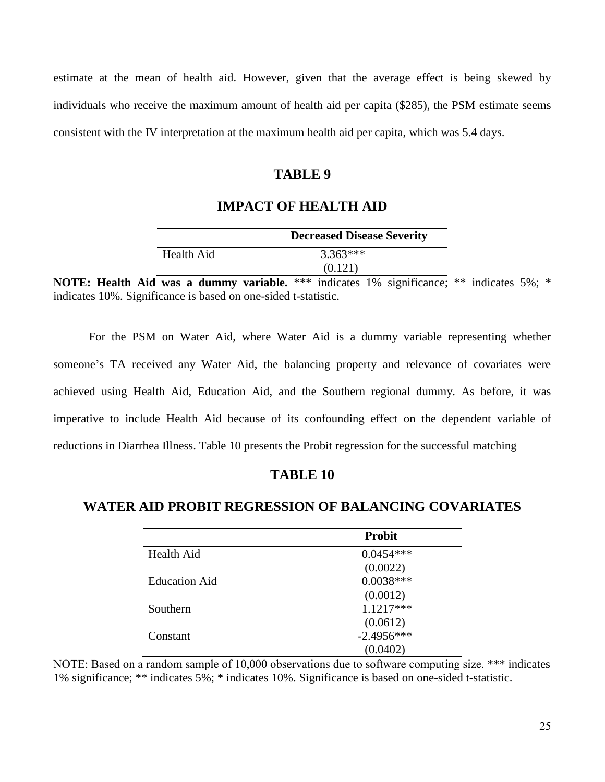estimate at the mean of health aid. However, given that the average effect is being skewed by individuals who receive the maximum amount of health aid per capita (\$285), the PSM estimate seems consistent with the IV interpretation at the maximum health aid per capita, which was 5.4 days.

# **TABLE 9**

|            | <b>Decreased Disease Severity</b> |
|------------|-----------------------------------|
| Health Aid | $3.363***$                        |
|            | (0.121)                           |

#### **IMPACT OF HEALTH AID**

**NOTE: Health Aid was a dummy variable.** \*\*\* indicates 1% significance; \*\* indicates 5%; \* indicates 10%. Significance is based on one-sided t-statistic.

For the PSM on Water Aid, where Water Aid is a dummy variable representing whether someone's TA received any Water Aid, the balancing property and relevance of covariates were achieved using Health Aid, Education Aid, and the Southern regional dummy. As before, it was imperative to include Health Aid because of its confounding effect on the dependent variable of reductions in Diarrhea Illness. Table 10 presents the Probit regression for the successful matching

# **TABLE 10**

# **WATER AID PROBIT REGRESSION OF BALANCING COVARIATES**

|                      | <b>Probit</b> |
|----------------------|---------------|
| Health Aid           | $0.0454***$   |
|                      | (0.0022)      |
| <b>Education Aid</b> | $0.0038***$   |
|                      | (0.0012)      |
| Southern             | $1.1217***$   |
|                      | (0.0612)      |
| Constant             | $-2.4956***$  |
|                      | (0.0402)      |

NOTE: Based on a random sample of 10,000 observations due to software computing size. \*\*\* indicates 1% significance; \*\* indicates 5%; \* indicates 10%. Significance is based on one-sided t-statistic.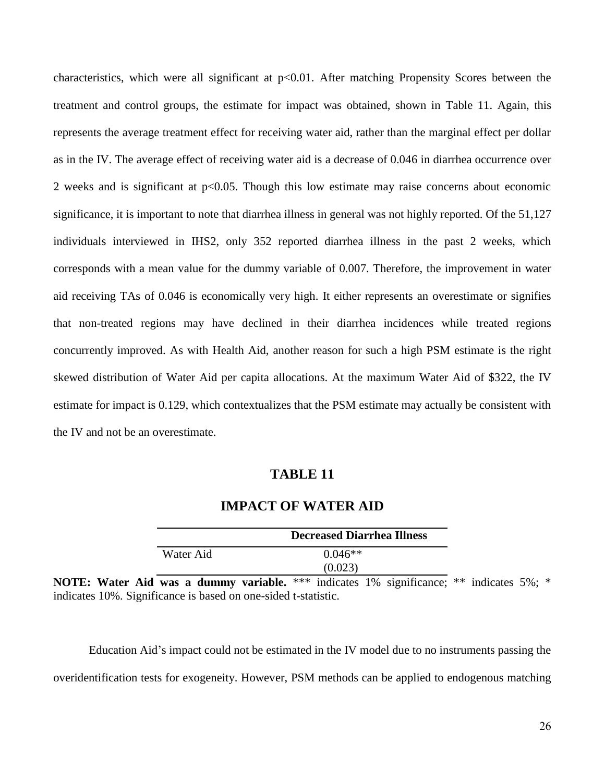characteristics, which were all significant at  $p<0.01$ . After matching Propensity Scores between the treatment and control groups, the estimate for impact was obtained, shown in Table 11. Again, this represents the average treatment effect for receiving water aid, rather than the marginal effect per dollar as in the IV. The average effect of receiving water aid is a decrease of 0.046 in diarrhea occurrence over 2 weeks and is significant at  $p<0.05$ . Though this low estimate may raise concerns about economic significance, it is important to note that diarrhea illness in general was not highly reported. Of the 51,127 individuals interviewed in IHS2, only 352 reported diarrhea illness in the past 2 weeks, which corresponds with a mean value for the dummy variable of 0.007. Therefore, the improvement in water aid receiving TAs of 0.046 is economically very high. It either represents an overestimate or signifies that non-treated regions may have declined in their diarrhea incidences while treated regions concurrently improved. As with Health Aid, another reason for such a high PSM estimate is the right skewed distribution of Water Aid per capita allocations. At the maximum Water Aid of \$322, the IV estimate for impact is 0.129, which contextualizes that the PSM estimate may actually be consistent with the IV and not be an overestimate.

# **TABLE 11**

|           | <b>Decreased Diarrhea Illness</b> |
|-----------|-----------------------------------|
| Water Aid | $0.046**$                         |
|           |                                   |

# **IMPACT OF WATER AID**

**NOTE: Water Aid was a dummy variable.** \*\*\* indicates 1% significance; \*\* indicates 5%; \* indicates 10%. Significance is based on one-sided t-statistic.

Education Aid's impact could not be estimated in the IV model due to no instruments passing the overidentification tests for exogeneity. However, PSM methods can be applied to endogenous matching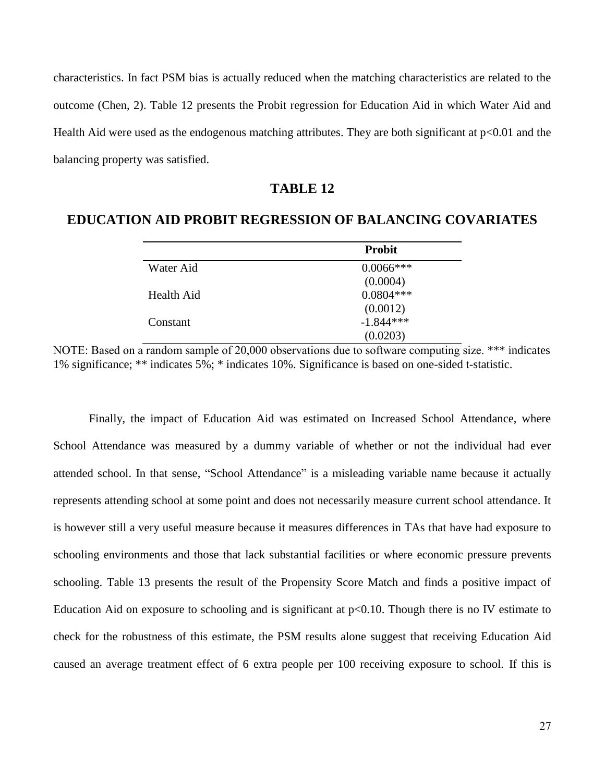characteristics. In fact PSM bias is actually reduced when the matching characteristics are related to the outcome (Chen, 2). Table 12 presents the Probit regression for Education Aid in which Water Aid and Health Aid were used as the endogenous matching attributes. They are both significant at p<0.01 and the balancing property was satisfied.

# **TABLE 12**

# **EDUCATION AID PROBIT REGRESSION OF BALANCING COVARIATES**

|            | <b>Probit</b> |
|------------|---------------|
| Water Aid  | $0.0066***$   |
|            | (0.0004)      |
| Health Aid | $0.0804***$   |
|            | (0.0012)      |
| Constant   | $-1.844***$   |
|            | (0.0203)      |

NOTE: Based on a random sample of 20,000 observations due to software computing size. \*\*\* indicates 1% significance; \*\* indicates 5%; \* indicates 10%. Significance is based on one-sided t-statistic.

Finally, the impact of Education Aid was estimated on Increased School Attendance, where School Attendance was measured by a dummy variable of whether or not the individual had ever attended school. In that sense, "School Attendance" is a misleading variable name because it actually represents attending school at some point and does not necessarily measure current school attendance. It is however still a very useful measure because it measures differences in TAs that have had exposure to schooling environments and those that lack substantial facilities or where economic pressure prevents schooling. Table 13 presents the result of the Propensity Score Match and finds a positive impact of Education Aid on exposure to schooling and is significant at  $p<0.10$ . Though there is no IV estimate to check for the robustness of this estimate, the PSM results alone suggest that receiving Education Aid caused an average treatment effect of 6 extra people per 100 receiving exposure to school. If this is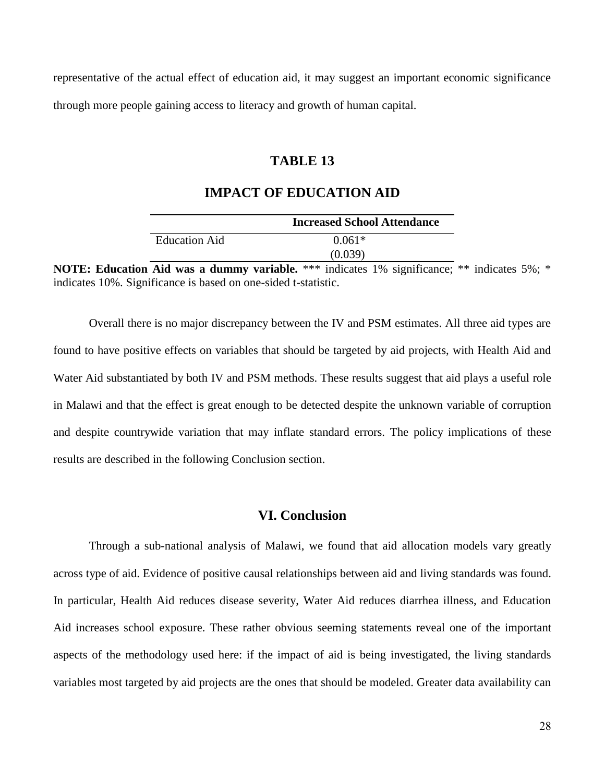representative of the actual effect of education aid, it may suggest an important economic significance through more people gaining access to literacy and growth of human capital.

# **TABLE 13**

|               | <b>Increased School Attendance</b> |
|---------------|------------------------------------|
| Education Aid | $0.061*$                           |
|               | (0.039)                            |

**IMPACT OF EDUCATION AID**

**NOTE: Education Aid was a dummy variable.** \*\*\* indicates 1% significance; \*\* indicates 5%; \* indicates 10%. Significance is based on one-sided t-statistic.

Overall there is no major discrepancy between the IV and PSM estimates. All three aid types are found to have positive effects on variables that should be targeted by aid projects, with Health Aid and Water Aid substantiated by both IV and PSM methods. These results suggest that aid plays a useful role in Malawi and that the effect is great enough to be detected despite the unknown variable of corruption and despite countrywide variation that may inflate standard errors. The policy implications of these results are described in the following Conclusion section.

### **VI. Conclusion**

Through a sub-national analysis of Malawi, we found that aid allocation models vary greatly across type of aid. Evidence of positive causal relationships between aid and living standards was found. In particular, Health Aid reduces disease severity, Water Aid reduces diarrhea illness, and Education Aid increases school exposure. These rather obvious seeming statements reveal one of the important aspects of the methodology used here: if the impact of aid is being investigated, the living standards variables most targeted by aid projects are the ones that should be modeled. Greater data availability can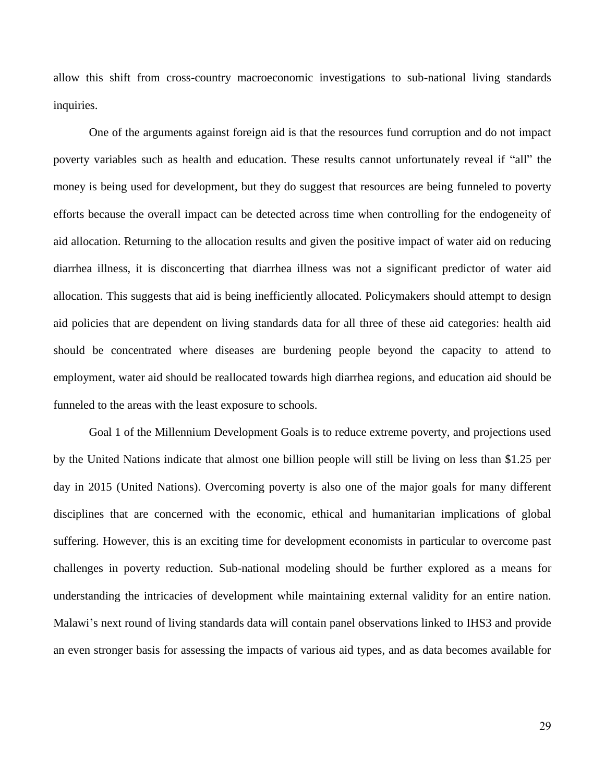allow this shift from cross-country macroeconomic investigations to sub-national living standards inquiries.

One of the arguments against foreign aid is that the resources fund corruption and do not impact poverty variables such as health and education. These results cannot unfortunately reveal if "all" the money is being used for development, but they do suggest that resources are being funneled to poverty efforts because the overall impact can be detected across time when controlling for the endogeneity of aid allocation. Returning to the allocation results and given the positive impact of water aid on reducing diarrhea illness, it is disconcerting that diarrhea illness was not a significant predictor of water aid allocation. This suggests that aid is being inefficiently allocated. Policymakers should attempt to design aid policies that are dependent on living standards data for all three of these aid categories: health aid should be concentrated where diseases are burdening people beyond the capacity to attend to employment, water aid should be reallocated towards high diarrhea regions, and education aid should be funneled to the areas with the least exposure to schools.

Goal 1 of the Millennium Development Goals is to reduce extreme poverty, and projections used by the United Nations indicate that almost one billion people will still be living on less than \$1.25 per day in 2015 (United Nations). Overcoming poverty is also one of the major goals for many different disciplines that are concerned with the economic, ethical and humanitarian implications of global suffering. However, this is an exciting time for development economists in particular to overcome past challenges in poverty reduction. Sub-national modeling should be further explored as a means for understanding the intricacies of development while maintaining external validity for an entire nation. Malawi's next round of living standards data will contain panel observations linked to IHS3 and provide an even stronger basis for assessing the impacts of various aid types, and as data becomes available for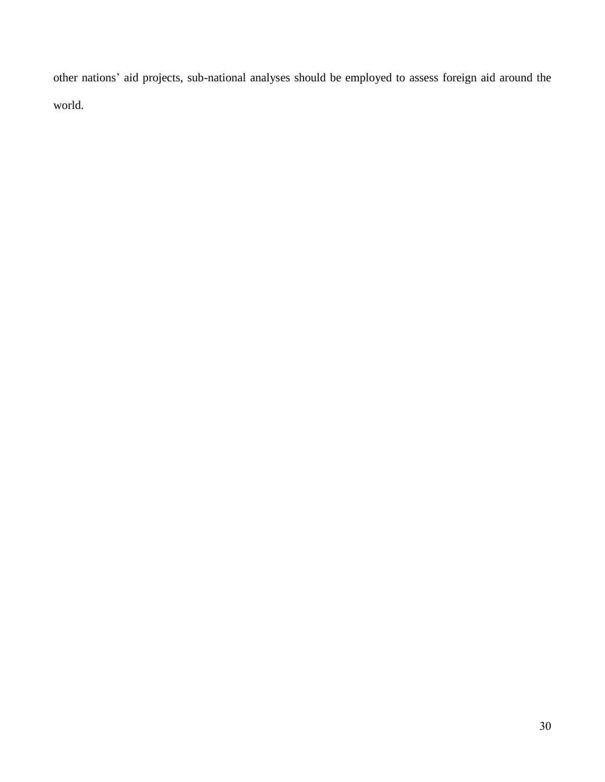other nations' aid projects, sub-national analyses should be employed to assess foreign aid around the world.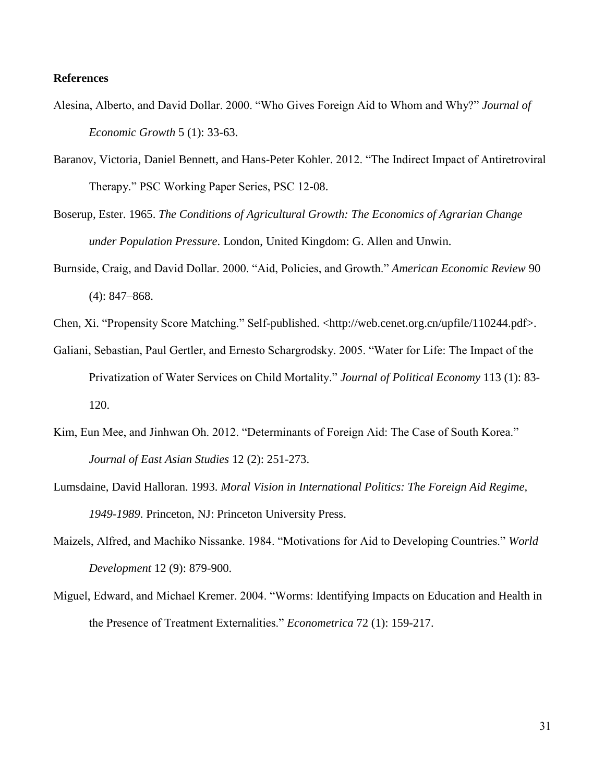### **References**

- Alesina, Alberto, and David Dollar. 2000. "Who Gives Foreign Aid to Whom and Why?" *Journal of Economic Growth* 5 (1): 33-63.
- Baranov, Victoria, Daniel Bennett, and Hans-Peter Kohler. 2012. "The Indirect Impact of Antiretroviral Therapy." PSC Working Paper Series, PSC 12-08.
- Boserup, Ester. 1965. *The Conditions of Agricultural Growth: The Economics of Agrarian Change under Population Pressure*. London, United Kingdom: G. Allen and Unwin.
- Burnside, Craig, and David Dollar. 2000. "Aid, Policies, and Growth." *American Economic Review* 90 (4): 847–868.
- Chen, Xi. "Propensity Score Matching." Self-published. <http://web.cenet.org.cn/upfile/110244.pdf>.
- Galiani, Sebastian, Paul Gertler, and Ernesto Schargrodsky. 2005. "Water for Life: The Impact of the Privatization of Water Services on Child Mortality." *Journal of Political Economy* 113 (1): 83- 120.
- Kim, Eun Mee, and Jinhwan Oh. 2012. "Determinants of Foreign Aid: The Case of South Korea." *Journal of East Asian Studies* 12 (2): 251-273.
- Lumsdaine, David Halloran. 1993. *Moral Vision in International Politics: The Foreign Aid Regime, 1949-1989*. Princeton, NJ: Princeton University Press.
- Maizels, Alfred, and Machiko Nissanke. 1984. "Motivations for Aid to Developing Countries." *World Development* 12 (9): 879-900.
- Miguel, Edward, and Michael Kremer. 2004. "Worms: Identifying Impacts on Education and Health in the Presence of Treatment Externalities." *Econometrica* 72 (1): 159-217.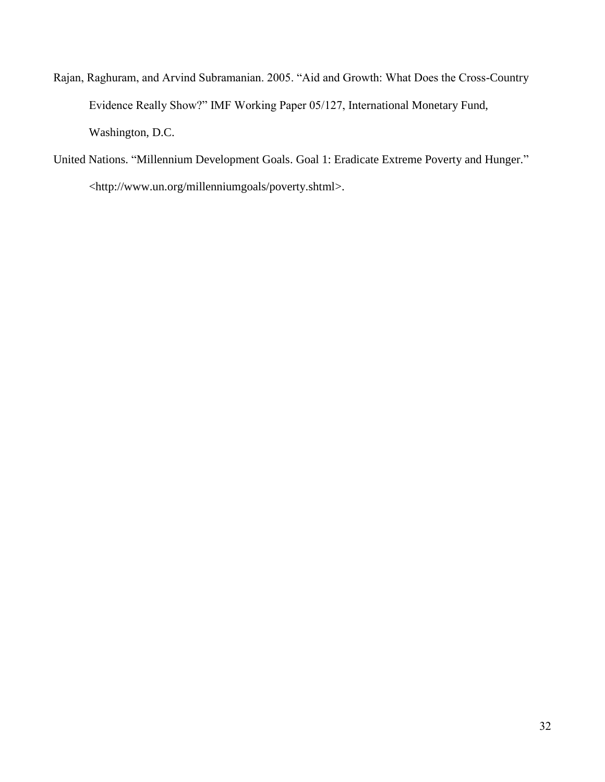- Rajan, Raghuram, and Arvind Subramanian. 2005. "Aid and Growth: What Does the Cross-Country Evidence Really Show?" IMF Working Paper 05/127, International Monetary Fund, Washington, D.C.
- United Nations. "Millennium Development Goals. Goal 1: Eradicate Extreme Poverty and Hunger." <http://www.un.org/millenniumgoals/poverty.shtml>.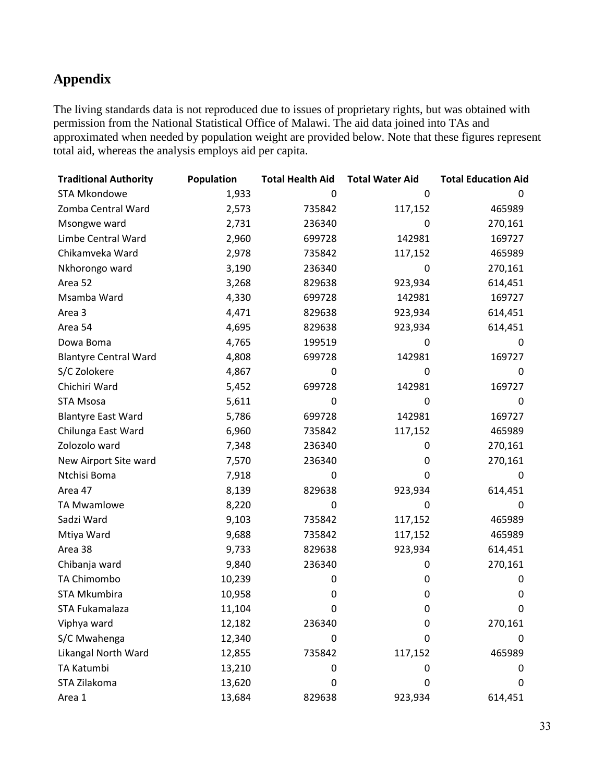# **Appendix**

The living standards data is not reproduced due to issues of proprietary rights, but was obtained with permission from the National Statistical Office of Malawi. The aid data joined into TAs and approximated when needed by population weight are provided below. Note that these figures represent total aid, whereas the analysis employs aid per capita.

| <b>Traditional Authority</b> | <b>Population</b> | <b>Total Health Aid</b> | <b>Total Water Aid</b> | <b>Total Education Aid</b> |
|------------------------------|-------------------|-------------------------|------------------------|----------------------------|
| <b>STA Mkondowe</b>          | 1,933             | 0                       | 0                      | 0                          |
| Zomba Central Ward           | 2,573             | 735842                  | 117,152                | 465989                     |
| Msongwe ward                 | 2,731             | 236340                  | 0                      | 270,161                    |
| Limbe Central Ward           | 2,960             | 699728                  | 142981                 | 169727                     |
| Chikamveka Ward              | 2,978             | 735842                  | 117,152                | 465989                     |
| Nkhorongo ward               | 3,190             | 236340                  | 0                      | 270,161                    |
| Area 52                      | 3,268             | 829638                  | 923,934                | 614,451                    |
| Msamba Ward                  | 4,330             | 699728                  | 142981                 | 169727                     |
| Area 3                       | 4,471             | 829638                  | 923,934                | 614,451                    |
| Area 54                      | 4,695             | 829638                  | 923,934                | 614,451                    |
| Dowa Boma                    | 4,765             | 199519                  | 0                      | 0                          |
| <b>Blantyre Central Ward</b> | 4,808             | 699728                  | 142981                 | 169727                     |
| S/C Zolokere                 | 4,867             | 0                       | 0                      | 0                          |
| Chichiri Ward                | 5,452             | 699728                  | 142981                 | 169727                     |
| <b>STA Msosa</b>             | 5,611             | 0                       | 0                      | 0                          |
| <b>Blantyre East Ward</b>    | 5,786             | 699728                  | 142981                 | 169727                     |
| Chilunga East Ward           | 6,960             | 735842                  | 117,152                | 465989                     |
| Zolozolo ward                | 7,348             | 236340                  | 0                      | 270,161                    |
| New Airport Site ward        | 7,570             | 236340                  | 0                      | 270,161                    |
| Ntchisi Boma                 | 7,918             | 0                       | 0                      | 0                          |
| Area 47                      | 8,139             | 829638                  | 923,934                | 614,451                    |
| <b>TA Mwamlowe</b>           | 8,220             | 0                       | 0                      | 0                          |
| Sadzi Ward                   | 9,103             | 735842                  | 117,152                | 465989                     |
| Mtiya Ward                   | 9,688             | 735842                  | 117,152                | 465989                     |
| Area 38                      | 9,733             | 829638                  | 923,934                | 614,451                    |
| Chibanja ward                | 9,840             | 236340                  | 0                      | 270,161                    |
| TA Chimombo                  | 10,239            | 0                       | 0                      | 0                          |
| STA Mkumbira                 | 10,958            | 0                       | 0                      | 0                          |
| STA Fukamalaza               | 11,104            | 0                       | 0                      | $\pmb{0}$                  |
| Viphya ward                  | 12,182            | 236340                  | 0                      | 270,161                    |
| S/C Mwahenga                 | 12,340            | 0                       | 0                      | 0                          |
| Likangal North Ward          | 12,855            | 735842                  | 117,152                | 465989                     |
| TA Katumbi                   | 13,210            | 0                       | 0                      | 0                          |
| STA Zilakoma                 | 13,620            | 0                       | 0                      | 0                          |
| Area 1                       | 13,684            | 829638                  | 923,934                | 614,451                    |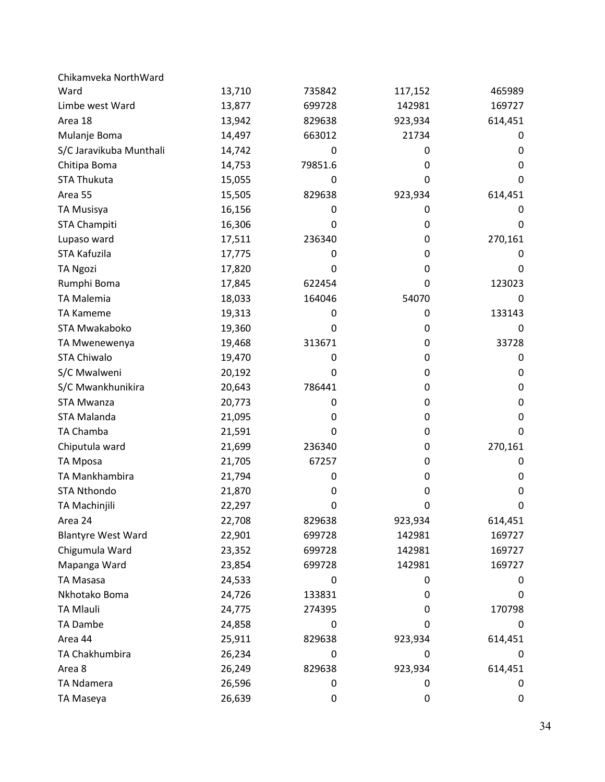| Chikamveka NorthWard      |        |         |         |             |
|---------------------------|--------|---------|---------|-------------|
| Ward                      | 13,710 | 735842  | 117,152 | 465989      |
| Limbe west Ward           | 13,877 | 699728  | 142981  | 169727      |
| Area 18                   | 13,942 | 829638  | 923,934 | 614,451     |
| Mulanje Boma              | 14,497 | 663012  | 21734   | 0           |
| S/C Jaravikuba Munthali   | 14,742 | 0       | 0       | 0           |
| Chitipa Boma              | 14,753 | 79851.6 | 0       | 0           |
| <b>STA Thukuta</b>        | 15,055 | 0       | 0       | 0           |
| Area 55                   | 15,505 | 829638  | 923,934 | 614,451     |
| TA Musisya                | 16,156 | 0       | 0       | 0           |
| <b>STA Champiti</b>       | 16,306 | 0       | 0       | 0           |
| Lupaso ward               | 17,511 | 236340  | 0       | 270,161     |
| STA Kafuzila              | 17,775 | 0       | 0       | 0           |
| <b>TA Ngozi</b>           | 17,820 | 0       | 0       | 0           |
| Rumphi Boma               | 17,845 | 622454  | 0       | 123023      |
| <b>TA Malemia</b>         | 18,033 | 164046  | 54070   | 0           |
| <b>TA Kameme</b>          | 19,313 | 0       | 0       | 133143      |
| STA Mwakaboko             | 19,360 | 0       | 0       | 0           |
| TA Mwenewenya             | 19,468 | 313671  | 0       | 33728       |
| <b>STA Chiwalo</b>        | 19,470 | 0       | 0       | 0           |
| S/C Mwalweni              | 20,192 | 0       | 0       | 0           |
| S/C Mwankhunikira         | 20,643 | 786441  | 0       | 0           |
| <b>STA Mwanza</b>         | 20,773 | 0       | 0       | 0           |
| <b>STA Malanda</b>        | 21,095 | 0       | 0       | 0           |
| TA Chamba                 | 21,591 | 0       | 0       | 0           |
| Chiputula ward            | 21,699 | 236340  | 0       | 270,161     |
| <b>TA Mposa</b>           | 21,705 | 67257   | 0       | 0           |
| TA Mankhambira            | 21,794 | 0       | 0       | 0           |
| <b>STA Nthondo</b>        | 21,870 | 0       | 0       | 0           |
| TA Machinjili             | 22,297 | 0       | 0       | $\mathbf 0$ |
| Area 24                   | 22,708 | 829638  | 923,934 | 614,451     |
| <b>Blantyre West Ward</b> | 22,901 | 699728  | 142981  | 169727      |
| Chigumula Ward            | 23,352 | 699728  | 142981  | 169727      |
| Mapanga Ward              | 23,854 | 699728  | 142981  | 169727      |
| TA Masasa                 | 24,533 | 0       | 0       | 0           |
| Nkhotako Boma             | 24,726 | 133831  | 0       | 0           |
| <b>TA Mlauli</b>          | 24,775 | 274395  | 0       | 170798      |
| TA Dambe                  | 24,858 | 0       | 0       | 0           |
| Area 44                   | 25,911 | 829638  | 923,934 | 614,451     |
| TA Chakhumbira            | 26,234 | 0       | 0       | 0           |
| Area 8                    | 26,249 | 829638  | 923,934 | 614,451     |
| TA Ndamera                | 26,596 | 0       | 0       | 0           |
| TA Maseya                 | 26,639 | 0       | 0       | 0           |
|                           |        |         |         |             |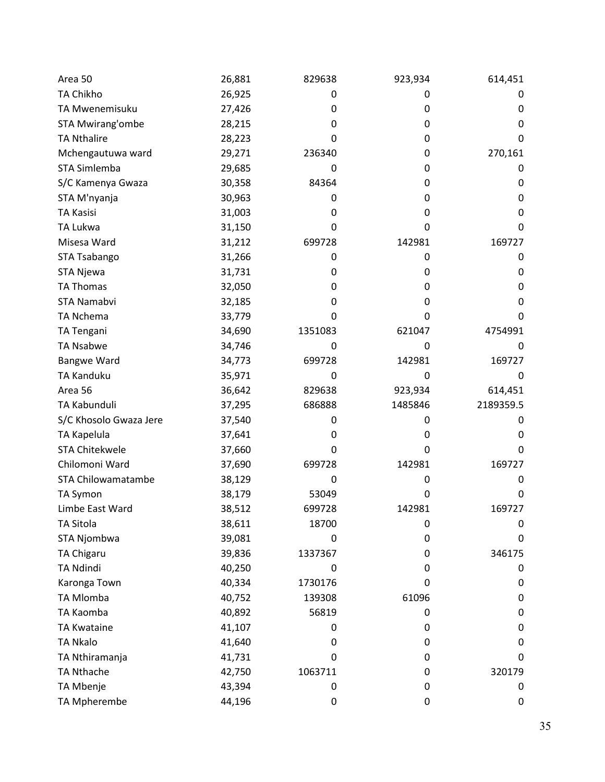| Area 50                | 26,881 | 829638  | 923,934 | 614,451     |
|------------------------|--------|---------|---------|-------------|
| <b>TA Chikho</b>       | 26,925 | 0       | 0       | 0           |
| TA Mwenemisuku         | 27,426 | 0       | 0       | 0           |
| STA Mwirang'ombe       | 28,215 | 0       | 0       | 0           |
| <b>TA Nthalire</b>     | 28,223 | 0       | 0       | 0           |
| Mchengautuwa ward      | 29,271 | 236340  | 0       | 270,161     |
| STA Simlemba           | 29,685 | 0       | 0       | 0           |
| S/C Kamenya Gwaza      | 30,358 | 84364   | 0       | 0           |
| STA M'nyanja           | 30,963 | 0       | 0       | 0           |
| <b>TA Kasisi</b>       | 31,003 | 0       | 0       | 0           |
| TA Lukwa               | 31,150 | 0       | 0       | 0           |
| Misesa Ward            | 31,212 | 699728  | 142981  | 169727      |
| STA Tsabango           | 31,266 | 0       | 0       | 0           |
| STA Njewa              | 31,731 | 0       | 0       | 0           |
| <b>TA Thomas</b>       | 32,050 | 0       | 0       | 0           |
| <b>STA Namabvi</b>     | 32,185 | 0       | 0       | 0           |
| TA Nchema              | 33,779 | 0       | 0       | 0           |
| TA Tengani             | 34,690 | 1351083 | 621047  | 4754991     |
| <b>TA Nsabwe</b>       | 34,746 | 0       | 0       | 0           |
| <b>Bangwe Ward</b>     | 34,773 | 699728  | 142981  | 169727      |
| <b>TA Kanduku</b>      | 35,971 | 0       | 0       | 0           |
| Area 56                | 36,642 | 829638  | 923,934 | 614,451     |
| TA Kabunduli           | 37,295 | 686888  | 1485846 | 2189359.5   |
| S/C Khosolo Gwaza Jere | 37,540 | 0       | 0       | 0           |
| TA Kapelula            | 37,641 | 0       | 0       | 0           |
| <b>STA Chitekwele</b>  | 37,660 | 0       | 0       | 0           |
| Chilomoni Ward         | 37,690 | 699728  | 142981  | 169727      |
| STA Chilowamatambe     | 38,129 | 0       | 0       | 0           |
| <b>TA Symon</b>        | 38,179 | 53049   | 0       | 0           |
| Limbe East Ward        | 38,512 | 699728  | 142981  | 169727      |
| TA Sitola              | 38,611 | 18700   | 0       | 0           |
| STA Njombwa            | 39,081 | 0       | 0       | 0           |
| TA Chigaru             | 39,836 | 1337367 | 0       | 346175      |
| <b>TA Ndindi</b>       | 40,250 | 0       | 0       | 0           |
| Karonga Town           | 40,334 | 1730176 | 0       | 0           |
| TA Mlomba              | 40,752 | 139308  | 61096   | $\mathbf 0$ |
| TA Kaomba              | 40,892 | 56819   | 0       | $\mathbf 0$ |
| <b>TA Kwataine</b>     | 41,107 | 0       | 0       | $\mathbf 0$ |
| <b>TA Nkalo</b>        | 41,640 | 0       | 0       | 0           |
| TA Nthiramanja         | 41,731 | 0       | 0       | 0           |
| <b>TA Nthache</b>      | 42,750 | 1063711 | 0       | 320179      |
| TA Mbenje              | 43,394 | 0       | 0       | 0           |
| TA Mpherembe           | 44,196 | 0       | 0       | 0           |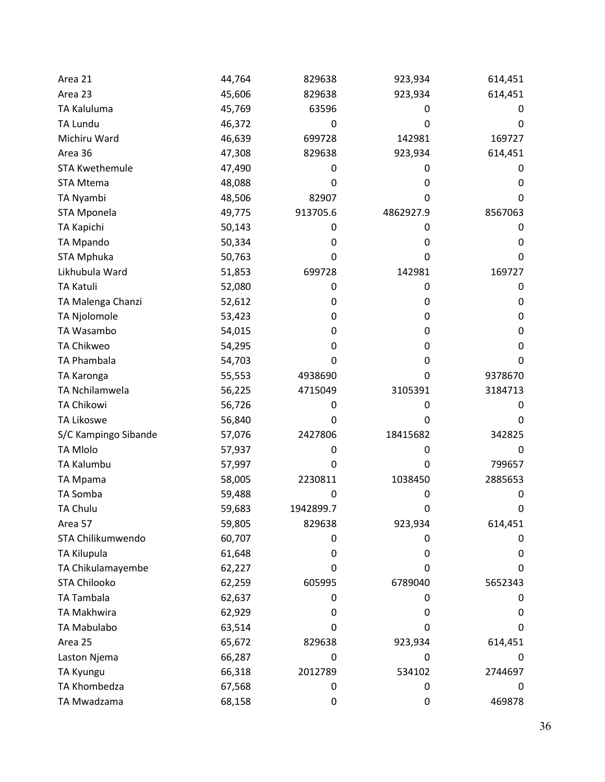| Area 21               | 44,764 | 829638    | 923,934   | 614,451 |
|-----------------------|--------|-----------|-----------|---------|
| Area 23               | 45,606 | 829638    | 923,934   | 614,451 |
| TA Kaluluma           | 45,769 | 63596     | 0         | 0       |
| <b>TA Lundu</b>       | 46,372 | 0         | 0         | 0       |
| Michiru Ward          | 46,639 | 699728    | 142981    | 169727  |
| Area 36               | 47,308 | 829638    | 923,934   | 614,451 |
| <b>STA Kwethemule</b> | 47,490 | 0         | 0         | 0       |
| <b>STA Mtema</b>      | 48,088 | 0         | 0         | 0       |
| TA Nyambi             | 48,506 | 82907     | 0         | O       |
| <b>STA Mponela</b>    | 49,775 | 913705.6  | 4862927.9 | 8567063 |
| TA Kapichi            | 50,143 | 0         | 0         | 0       |
| <b>TA Mpando</b>      | 50,334 | 0         | 0         | 0       |
| <b>STA Mphuka</b>     | 50,763 | 0         | 0         | 0       |
| Likhubula Ward        | 51,853 | 699728    | 142981    | 169727  |
| <b>TA Katuli</b>      | 52,080 | 0         | 0         | 0       |
| TA Malenga Chanzi     | 52,612 | 0         | 0         | 0       |
| TA Njolomole          | 53,423 | 0         | 0         | 0       |
| TA Wasambo            | 54,015 | 0         | 0         | 0       |
| TA Chikweo            | 54,295 | 0         | 0         | 0       |
| TA Phambala           | 54,703 | 0         | 0         | 0       |
| TA Karonga            | 55,553 | 4938690   | 0         | 9378670 |
| TA Nchilamwela        | 56,225 | 4715049   | 3105391   | 3184713 |
| TA Chikowi            | 56,726 | 0         | 0         | 0       |
| TA Likoswe            | 56,840 | 0         | 0         | 0       |
| S/C Kampingo Sibande  | 57,076 | 2427806   | 18415682  | 342825  |
| <b>TA MIolo</b>       | 57,937 | 0         | 0         | 0       |
| TA Kalumbu            | 57,997 | 0         | 0         | 799657  |
| TA Mpama              | 58,005 | 2230811   | 1038450   | 2885653 |
| TA Somba              | 59,488 | 0         | 0         | 0       |
| <b>TA Chulu</b>       | 59,683 | 1942899.7 | 0         | 0       |
| Area 57               | 59,805 | 829638    | 923,934   | 614,451 |
| STA Chilikumwendo     | 60,707 | 0         | 0         | 0       |
| TA Kilupula           | 61,648 | 0         | 0         | 0       |
| TA Chikulamayembe     | 62,227 | 0         | 0         | 0       |
| <b>STA Chilooko</b>   | 62,259 | 605995    | 6789040   | 5652343 |
| <b>TA Tambala</b>     | 62,637 | 0         | 0         | 0       |
| TA Makhwira           | 62,929 | 0         | 0         | 0       |
| <b>TA Mabulabo</b>    | 63,514 | 0         | 0         | 0       |
| Area 25               | 65,672 | 829638    | 923,934   | 614,451 |
| Laston Njema          | 66,287 | 0         | 0         | 0       |
| TA Kyungu             | 66,318 | 2012789   | 534102    | 2744697 |
| TA Khombedza          | 67,568 | 0         | 0         | 0       |
| TA Mwadzama           | 68,158 | 0         | 0         | 469878  |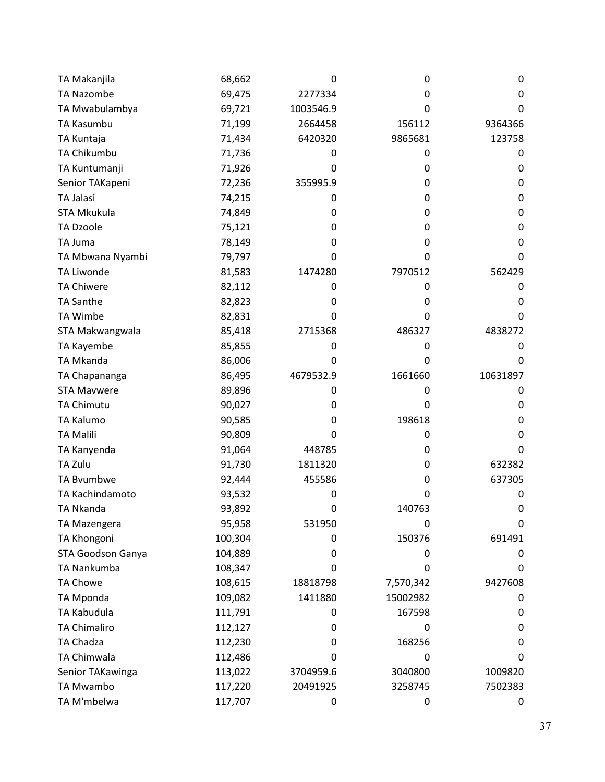| TA Makanjila        | 68,662  | 0         | 0         | 0           |
|---------------------|---------|-----------|-----------|-------------|
| <b>TA Nazombe</b>   | 69,475  | 2277334   | 0         | 0           |
| TA Mwabulambya      | 69,721  | 1003546.9 | 0         | 0           |
| TA Kasumbu          | 71,199  | 2664458   | 156112    | 9364366     |
| TA Kuntaja          | 71,434  | 6420320   | 9865681   | 123758      |
| TA Chikumbu         | 71,736  | 0         | 0         | 0           |
| TA Kuntumanji       | 71,926  | 0         | 0         | 0           |
| Senior TAKapeni     | 72,236  | 355995.9  | 0         | 0           |
| <b>TA Jalasi</b>    | 74,215  | 0         | 0         | 0           |
| <b>STA Mkukula</b>  | 74,849  | 0         | 0         | $\mathbf 0$ |
| <b>TA Dzoole</b>    | 75,121  | 0         | 0         | $\mathbf 0$ |
| TA Juma             | 78,149  | 0         | 0         | 0           |
| TA Mbwana Nyambi    | 79,797  | 0         | 0         | 0           |
| <b>TA Liwonde</b>   | 81,583  | 1474280   | 7970512   | 562429      |
| <b>TA Chiwere</b>   | 82,112  | 0         | 0         | 0           |
| <b>TA Santhe</b>    | 82,823  | 0         | 0         | 0           |
| TA Wimbe            | 82,831  | 0         | 0         | 0           |
| STA Makwangwala     | 85,418  | 2715368   | 486327    | 4838272     |
| TA Kayembe          | 85,855  | 0         | 0         | 0           |
| TA Mkanda           | 86,006  | 0         | 0         | 0           |
| TA Chapananga       | 86,495  | 4679532.9 | 1661660   | 10631897    |
| <b>STA Mavwere</b>  | 89,896  | 0         | 0         | 0           |
| <b>TA Chimutu</b>   | 90,027  | 0         | 0         | 0           |
| TA Kalumo           | 90,585  | 0         | 198618    | 0           |
| <b>TA Malili</b>    | 90,809  | 0         | 0         | 0           |
| TA Kanyenda         | 91,064  | 448785    | 0         | 0           |
| TA Zulu             | 91,730  | 1811320   | 0         | 632382      |
| TA Bvumbwe          | 92,444  | 455586    | 0         | 637305      |
| TA Kachindamoto     | 93,532  | 0         | 0         | 0           |
| TA Nkanda           | 93,892  | 0         | 140763    | $\mathbf 0$ |
| TA Mazengera        | 95,958  | 531950    | 0         | 0           |
| TA Khongoni         | 100,304 | 0         | 150376    | 691491      |
| STA Goodson Ganya   | 104,889 | 0         | 0         | 0           |
| TA Nankumba         | 108,347 | 0         | 0         | 0           |
| <b>TA Chowe</b>     | 108,615 | 18818798  | 7,570,342 | 9427608     |
| TA Mponda           | 109,082 | 1411880   | 15002982  | 0           |
| TA Kabudula         | 111,791 | 0         | 167598    | 0           |
| <b>TA Chimaliro</b> | 112,127 | 0         | 0         | 0           |
| TA Chadza           | 112,230 | 0         | 168256    | 0           |
| TA Chimwala         | 112,486 | 0         | 0         | 0           |
| Senior TAKawinga    | 113,022 | 3704959.6 | 3040800   | 1009820     |
| TA Mwambo           | 117,220 | 20491925  | 3258745   | 7502383     |
| TA M'mbelwa         | 117,707 | 0         | 0         | 0           |